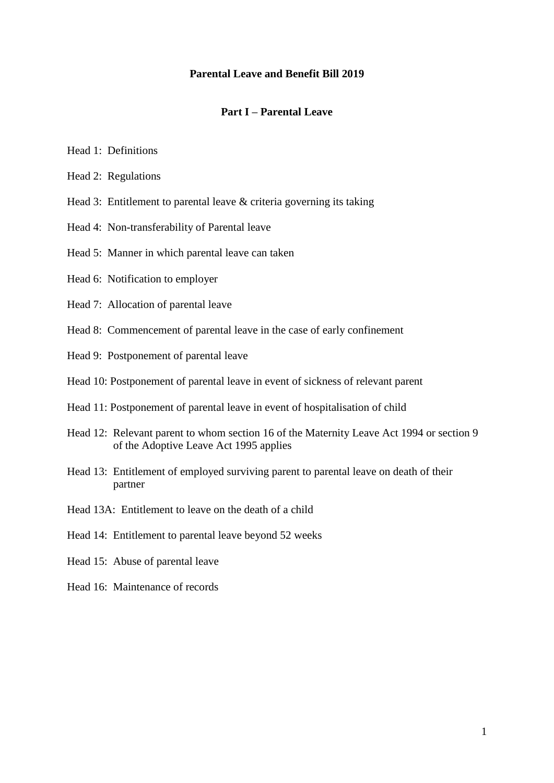#### **Parental Leave and Benefit Bill 2019**

#### **Part I – Parental Leave**

- Head 1: Definitions
- Head 2: Regulations
- Head 3: Entitlement to parental leave & criteria governing its taking
- Head 4: Non-transferability of Parental leave
- Head 5: Manner in which parental leave can taken
- Head 6: Notification to employer
- Head 7: Allocation of parental leave
- Head 8: Commencement of parental leave in the case of early confinement
- Head 9: Postponement of parental leave
- Head 10: Postponement of parental leave in event of sickness of relevant parent
- Head 11: Postponement of parental leave in event of hospitalisation of child
- Head 12: Relevant parent to whom section 16 of the Maternity Leave Act 1994 or section 9 of the Adoptive Leave Act 1995 applies
- Head 13: Entitlement of employed surviving parent to parental leave on death of their partner
- Head 13A: Entitlement to leave on the death of a child
- Head 14: Entitlement to parental leave beyond 52 weeks
- Head 15: Abuse of parental leave
- Head 16: Maintenance of records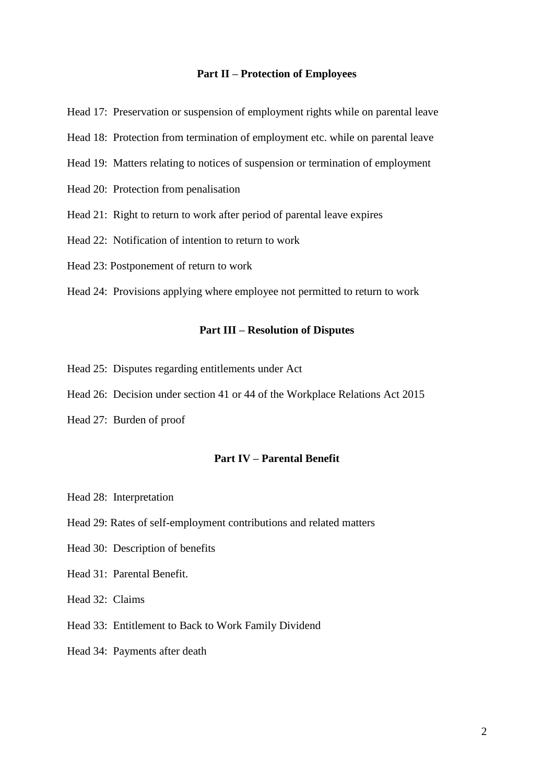#### **Part II – Protection of Employees**

Head 17: Preservation or suspension of employment rights while on parental leave

- Head 18: Protection from termination of employment etc. while on parental leave
- Head 19: Matters relating to notices of suspension or termination of employment
- Head 20: Protection from penalisation
- Head 21: Right to return to work after period of parental leave expires
- Head 22: Notification of intention to return to work
- Head 23: Postponement of return to work
- Head 24: Provisions applying where employee not permitted to return to work

#### **Part III – Resolution of Disputes**

- Head 25: Disputes regarding entitlements under Act
- Head 26: Decision under section 41 or 44 of the Workplace Relations Act 2015
- Head 27: Burden of proof

#### **Part IV – Parental Benefit**

- Head 28: Interpretation
- Head 29: Rates of self-employment contributions and related matters
- Head 30: Description of benefits
- Head 31: Parental Benefit.
- Head 32: Claims
- Head 33: Entitlement to Back to Work Family Dividend
- Head 34: Payments after death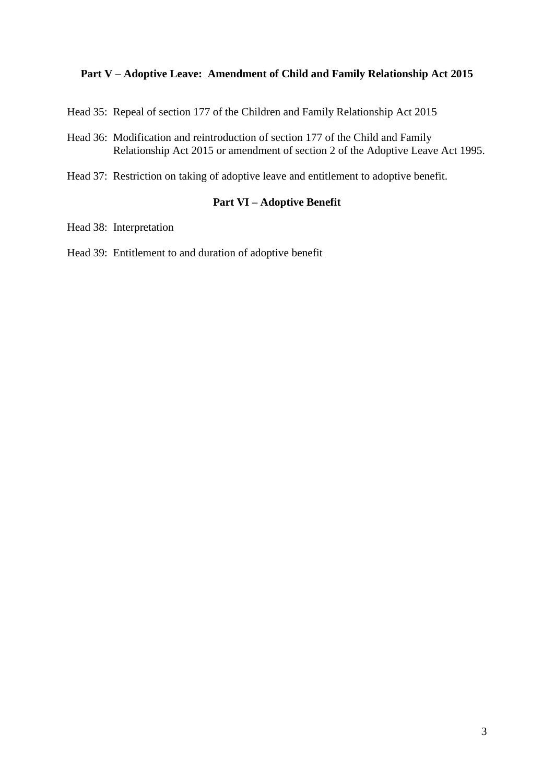#### **Part V – Adoptive Leave: Amendment of Child and Family Relationship Act 2015**

- Head 35: Repeal of section 177 of the Children and Family Relationship Act 2015
- Head 36: Modification and reintroduction of section 177 of the Child and Family Relationship Act 2015 or amendment of section 2 of the Adoptive Leave Act 1995.
- Head 37: Restriction on taking of adoptive leave and entitlement to adoptive benefit.

#### **Part VI – Adoptive Benefit**

- Head 38: Interpretation
- Head 39: Entitlement to and duration of adoptive benefit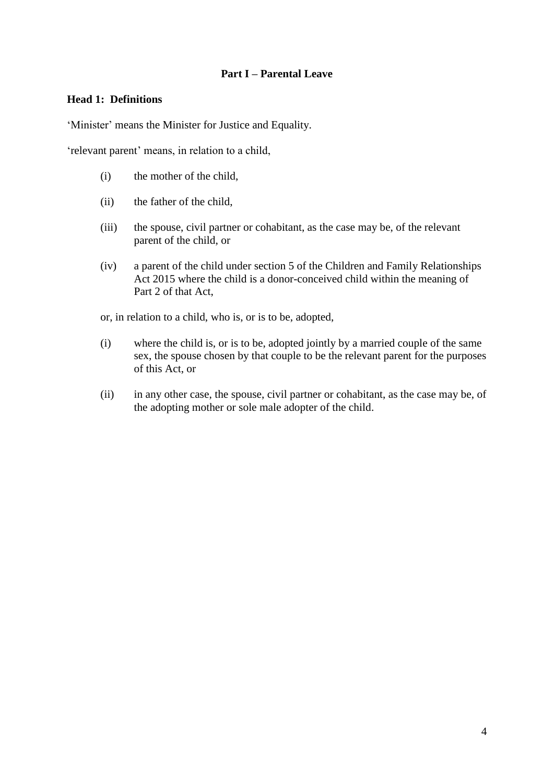#### **Part I – Parental Leave**

#### **Head 1: Definitions**

'Minister' means the Minister for Justice and Equality.

'relevant parent' means, in relation to a child,

- (i) the mother of the child,
- (ii) the father of the child,
- (iii) the spouse, civil partner or cohabitant, as the case may be, of the relevant parent of the child, or
- (iv) a parent of the child under section 5 of the Children and Family Relationships Act 2015 where the child is a donor-conceived child within the meaning of Part 2 of that Act,

or, in relation to a child, who is, or is to be, adopted,

- (i) where the child is, or is to be, adopted jointly by a married couple of the same sex, the spouse chosen by that couple to be the relevant parent for the purposes of this Act, or
- (ii) in any other case, the spouse, civil partner or cohabitant, as the case may be, of the adopting mother or sole male adopter of the child.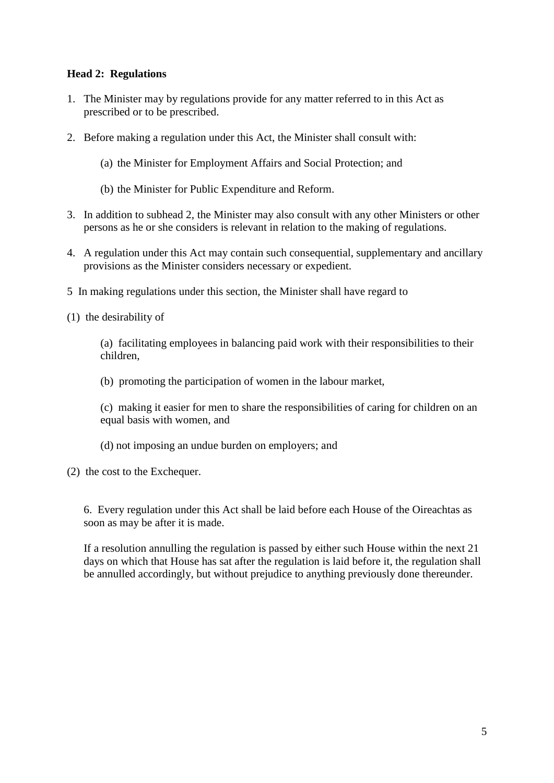#### **Head 2: Regulations**

- 1. The Minister may by regulations provide for any matter referred to in this Act as prescribed or to be prescribed.
- 2. Before making a regulation under this Act, the Minister shall consult with:
	- (a) the Minister for Employment Affairs and Social Protection; and
	- (b) the Minister for Public Expenditure and Reform.
- 3. In addition to subhead 2, the Minister may also consult with any other Ministers or other persons as he or she considers is relevant in relation to the making of regulations.
- 4. A regulation under this Act may contain such consequential, supplementary and ancillary provisions as the Minister considers necessary or expedient.
- 5 In making regulations under this section, the Minister shall have regard to
- (1) the desirability of

(a) facilitating employees in balancing paid work with their responsibilities to their children,

- (b) promoting the participation of women in the labour market,
- (c) making it easier for men to share the responsibilities of caring for children on an equal basis with women, and
- (d) not imposing an undue burden on employers; and
- (2) the cost to the Exchequer.

6. Every regulation under this Act shall be laid before each House of the Oireachtas as soon as may be after it is made.

If a resolution annulling the regulation is passed by either such House within the next 21 days on which that House has sat after the regulation is laid before it, the regulation shall be annulled accordingly, but without prejudice to anything previously done thereunder.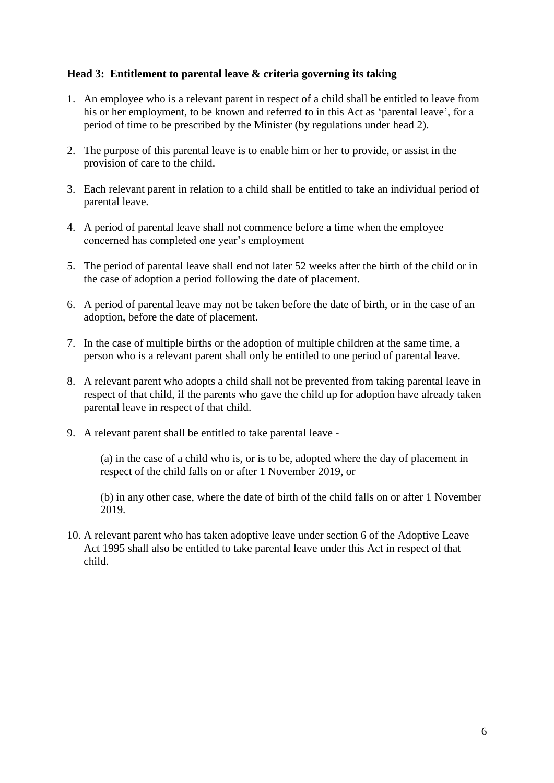#### **Head 3: Entitlement to parental leave & criteria governing its taking**

- 1. An employee who is a relevant parent in respect of a child shall be entitled to leave from his or her employment, to be known and referred to in this Act as 'parental leave', for a period of time to be prescribed by the Minister (by regulations under head 2).
- 2. The purpose of this parental leave is to enable him or her to provide, or assist in the provision of care to the child.
- 3. Each relevant parent in relation to a child shall be entitled to take an individual period of parental leave.
- 4. A period of parental leave shall not commence before a time when the employee concerned has completed one year's employment
- 5. The period of parental leave shall end not later 52 weeks after the birth of the child or in the case of adoption a period following the date of placement.
- 6. A period of parental leave may not be taken before the date of birth, or in the case of an adoption, before the date of placement.
- 7. In the case of multiple births or the adoption of multiple children at the same time, a person who is a relevant parent shall only be entitled to one period of parental leave.
- 8. A relevant parent who adopts a child shall not be prevented from taking parental leave in respect of that child, if the parents who gave the child up for adoption have already taken parental leave in respect of that child.
- 9. A relevant parent shall be entitled to take parental leave -

(a) in the case of a child who is, or is to be, adopted where the day of placement in respect of the child falls on or after 1 November 2019, or

(b) in any other case, where the date of birth of the child falls on or after 1 November 2019.

10. A relevant parent who has taken adoptive leave under section 6 of the Adoptive Leave Act 1995 shall also be entitled to take parental leave under this Act in respect of that child.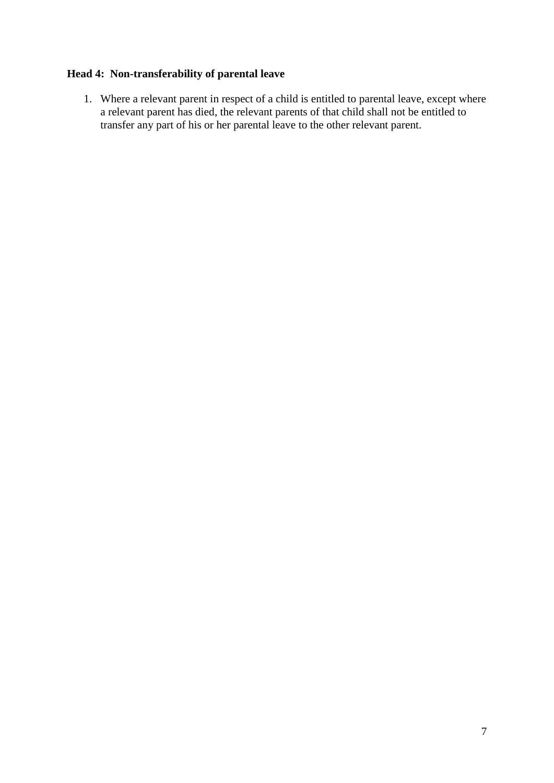# **Head 4: Non-transferability of parental leave**

1. Where a relevant parent in respect of a child is entitled to parental leave, except where a relevant parent has died, the relevant parents of that child shall not be entitled to transfer any part of his or her parental leave to the other relevant parent.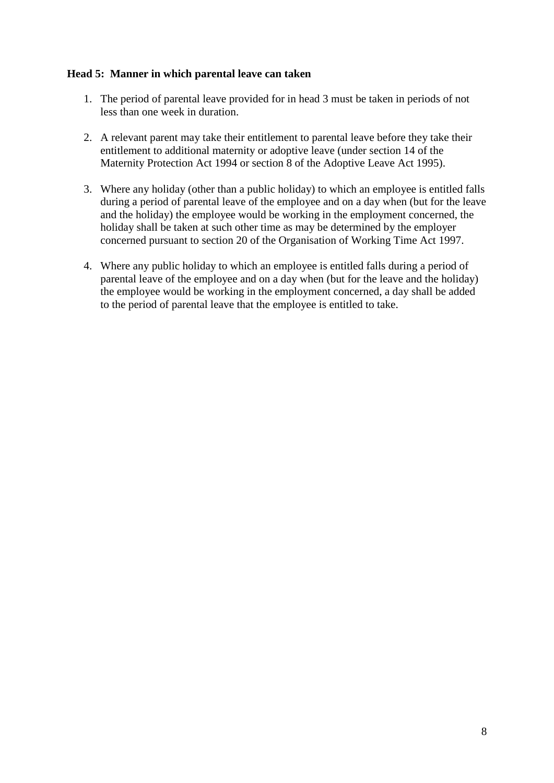#### **Head 5: Manner in which parental leave can taken**

- 1. The period of parental leave provided for in head 3 must be taken in periods of not less than one week in duration.
- 2. A relevant parent may take their entitlement to parental leave before they take their entitlement to additional maternity or adoptive leave (under section 14 of the Maternity Protection Act 1994 or section 8 of the Adoptive Leave Act 1995).
- 3. Where any holiday (other than a public holiday) to which an employee is entitled falls during a period of parental leave of the employee and on a day when (but for the leave and the holiday) the employee would be working in the employment concerned, the holiday shall be taken at such other time as may be determined by the employer concerned pursuant to section 20 of the Organisation of Working Time Act 1997.
- 4. Where any public holiday to which an employee is entitled falls during a period of parental leave of the employee and on a day when (but for the leave and the holiday) the employee would be working in the employment concerned, a day shall be added to the period of parental leave that the employee is entitled to take.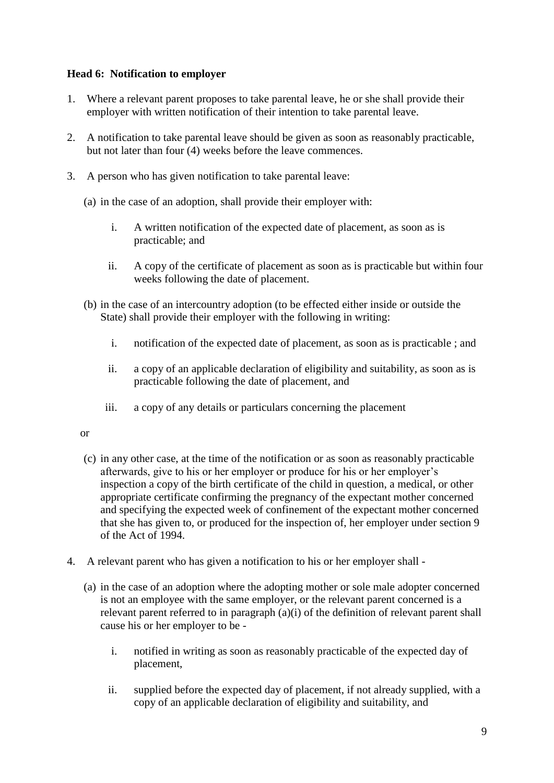#### **Head 6: Notification to employer**

- 1. Where a relevant parent proposes to take parental leave, he or she shall provide their employer with written notification of their intention to take parental leave.
- 2. A notification to take parental leave should be given as soon as reasonably practicable, but not later than four (4) weeks before the leave commences.
- 3. A person who has given notification to take parental leave:
	- (a) in the case of an adoption, shall provide their employer with:
		- i. A written notification of the expected date of placement, as soon as is practicable; and
		- ii. A copy of the certificate of placement as soon as is practicable but within four weeks following the date of placement.
	- (b) in the case of an intercountry adoption (to be effected either inside or outside the State) shall provide their employer with the following in writing:
		- i. notification of the expected date of placement, as soon as is practicable ; and
		- ii. a copy of an applicable declaration of eligibility and suitability, as soon as is practicable following the date of placement, and
		- iii. a copy of any details or particulars concerning the placement

#### or

- (c) in any other case, at the time of the notification or as soon as reasonably practicable afterwards, give to his or her employer or produce for his or her employer's inspection a copy of the birth certificate of the child in question, a medical, or other appropriate certificate confirming the pregnancy of the expectant mother concerned and specifying the expected week of confinement of the expectant mother concerned that she has given to, or produced for the inspection of, her employer under section 9 of the Act of 1994.
- 4. A relevant parent who has given a notification to his or her employer shall
	- (a) in the case of an adoption where the adopting mother or sole male adopter concerned is not an employee with the same employer, or the relevant parent concerned is a relevant parent referred to in paragraph (a)(i) of the definition of relevant parent shall cause his or her employer to be
		- i. notified in writing as soon as reasonably practicable of the expected day of placement,
		- ii. supplied before the expected day of placement, if not already supplied, with a copy of an applicable declaration of eligibility and suitability, and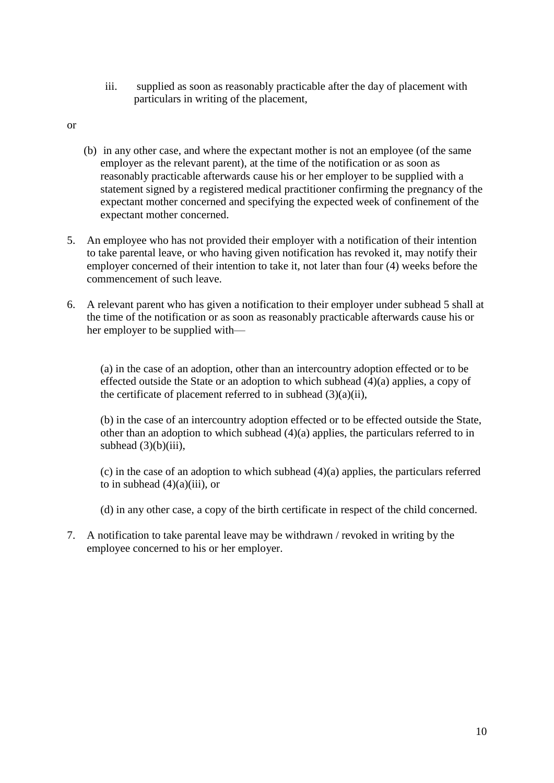iii. supplied as soon as reasonably practicable after the day of placement with particulars in writing of the placement,

or

- (b) in any other case, and where the expectant mother is not an employee (of the same employer as the relevant parent), at the time of the notification or as soon as reasonably practicable afterwards cause his or her employer to be supplied with a statement signed by a registered medical practitioner confirming the pregnancy of the expectant mother concerned and specifying the expected week of confinement of the expectant mother concerned.
- 5. An employee who has not provided their employer with a notification of their intention to take parental leave, or who having given notification has revoked it, may notify their employer concerned of their intention to take it, not later than four (4) weeks before the commencement of such leave.
- 6. A relevant parent who has given a notification to their employer under subhead 5 shall at the time of the notification or as soon as reasonably practicable afterwards cause his or her employer to be supplied with—

(a) in the case of an adoption, other than an intercountry adoption effected or to be effected outside the State or an adoption to which subhead (4)(a) applies, a copy of the certificate of placement referred to in subhead  $(3)(a)(ii)$ ,

(b) in the case of an intercountry adoption effected or to be effected outside the State, other than an adoption to which subhead (4)(a) applies, the particulars referred to in subhead  $(3)(b)(iii)$ ,

(c) in the case of an adoption to which subhead (4)(a) applies, the particulars referred to in subhead  $(4)(a)(iii)$ , or

(d) in any other case, a copy of the birth certificate in respect of the child concerned.

7. A notification to take parental leave may be withdrawn / revoked in writing by the employee concerned to his or her employer.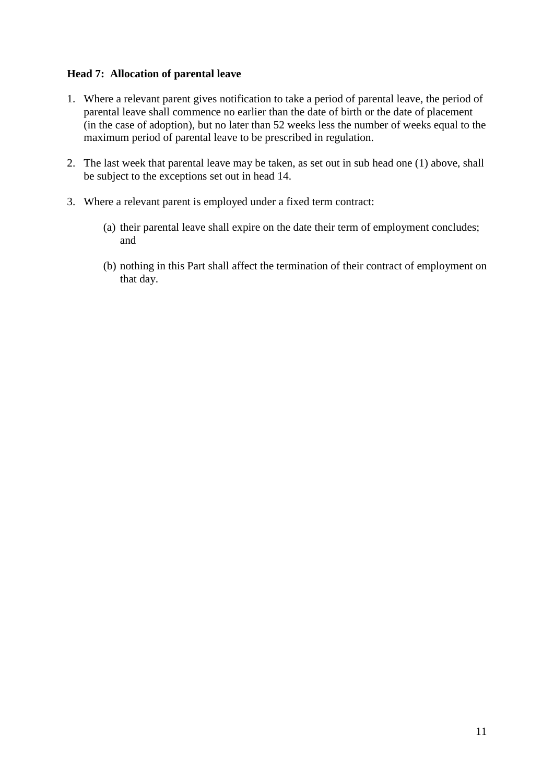#### **Head 7: Allocation of parental leave**

- 1. Where a relevant parent gives notification to take a period of parental leave, the period of parental leave shall commence no earlier than the date of birth or the date of placement (in the case of adoption), but no later than 52 weeks less the number of weeks equal to the maximum period of parental leave to be prescribed in regulation.
- 2. The last week that parental leave may be taken, as set out in sub head one (1) above, shall be subject to the exceptions set out in head 14.
- 3. Where a relevant parent is employed under a fixed term contract:
	- (a) their parental leave shall expire on the date their term of employment concludes; and
	- (b) nothing in this Part shall affect the termination of their contract of employment on that day.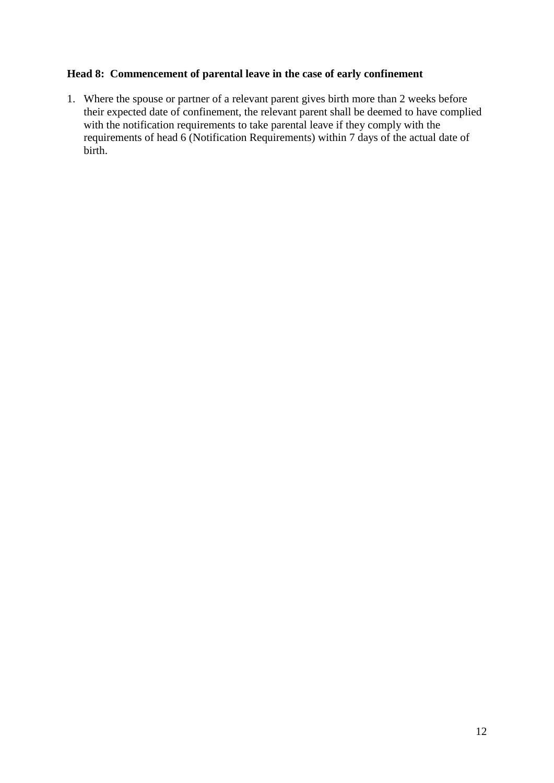#### **Head 8: Commencement of parental leave in the case of early confinement**

1. Where the spouse or partner of a relevant parent gives birth more than 2 weeks before their expected date of confinement, the relevant parent shall be deemed to have complied with the notification requirements to take parental leave if they comply with the requirements of head 6 (Notification Requirements) within 7 days of the actual date of birth.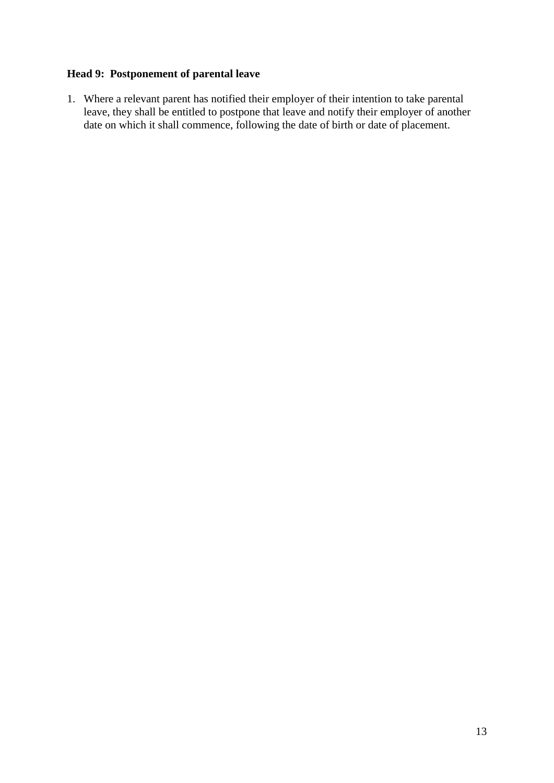# **Head 9: Postponement of parental leave**

1. Where a relevant parent has notified their employer of their intention to take parental leave, they shall be entitled to postpone that leave and notify their employer of another date on which it shall commence, following the date of birth or date of placement.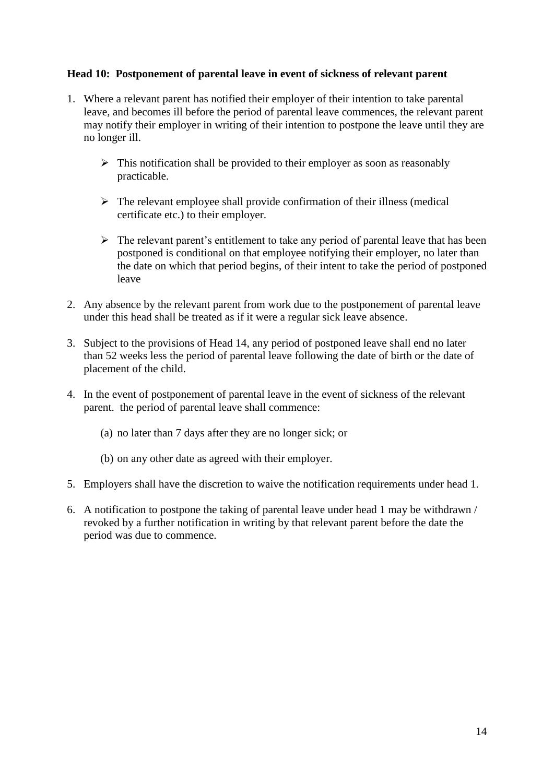#### **Head 10: Postponement of parental leave in event of sickness of relevant parent**

- 1. Where a relevant parent has notified their employer of their intention to take parental leave, and becomes ill before the period of parental leave commences, the relevant parent may notify their employer in writing of their intention to postpone the leave until they are no longer ill.
	- $\triangleright$  This notification shall be provided to their employer as soon as reasonably practicable.
	- $\triangleright$  The relevant employee shall provide confirmation of their illness (medical certificate etc.) to their employer.
	- $\triangleright$  The relevant parent's entitlement to take any period of parental leave that has been postponed is conditional on that employee notifying their employer, no later than the date on which that period begins, of their intent to take the period of postponed leave
- 2. Any absence by the relevant parent from work due to the postponement of parental leave under this head shall be treated as if it were a regular sick leave absence.
- 3. Subject to the provisions of Head 14, any period of postponed leave shall end no later than 52 weeks less the period of parental leave following the date of birth or the date of placement of the child.
- 4. In the event of postponement of parental leave in the event of sickness of the relevant parent. the period of parental leave shall commence:
	- (a) no later than 7 days after they are no longer sick; or
	- (b) on any other date as agreed with their employer.
- 5. Employers shall have the discretion to waive the notification requirements under head 1.
- 6. A notification to postpone the taking of parental leave under head 1 may be withdrawn / revoked by a further notification in writing by that relevant parent before the date the period was due to commence.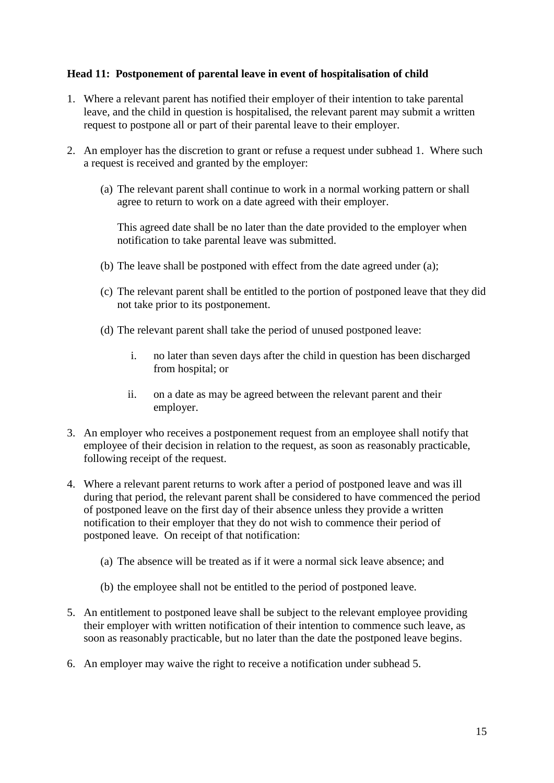#### **Head 11: Postponement of parental leave in event of hospitalisation of child**

- 1. Where a relevant parent has notified their employer of their intention to take parental leave, and the child in question is hospitalised, the relevant parent may submit a written request to postpone all or part of their parental leave to their employer.
- 2. An employer has the discretion to grant or refuse a request under subhead 1. Where such a request is received and granted by the employer:
	- (a) The relevant parent shall continue to work in a normal working pattern or shall agree to return to work on a date agreed with their employer.

This agreed date shall be no later than the date provided to the employer when notification to take parental leave was submitted.

- (b) The leave shall be postponed with effect from the date agreed under (a);
- (c) The relevant parent shall be entitled to the portion of postponed leave that they did not take prior to its postponement.
- (d) The relevant parent shall take the period of unused postponed leave:
	- i. no later than seven days after the child in question has been discharged from hospital; or
	- ii. on a date as may be agreed between the relevant parent and their employer.
- 3. An employer who receives a postponement request from an employee shall notify that employee of their decision in relation to the request, as soon as reasonably practicable, following receipt of the request.
- 4. Where a relevant parent returns to work after a period of postponed leave and was ill during that period, the relevant parent shall be considered to have commenced the period of postponed leave on the first day of their absence unless they provide a written notification to their employer that they do not wish to commence their period of postponed leave. On receipt of that notification:
	- (a) The absence will be treated as if it were a normal sick leave absence; and
	- (b) the employee shall not be entitled to the period of postponed leave.
- 5. An entitlement to postponed leave shall be subject to the relevant employee providing their employer with written notification of their intention to commence such leave, as soon as reasonably practicable, but no later than the date the postponed leave begins.
- 6. An employer may waive the right to receive a notification under subhead 5.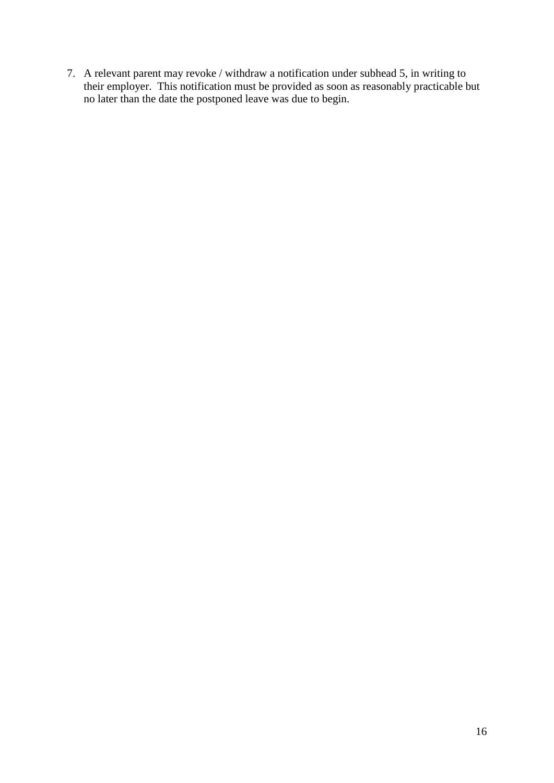7. A relevant parent may revoke / withdraw a notification under subhead 5, in writing to their employer. This notification must be provided as soon as reasonably practicable but no later than the date the postponed leave was due to begin.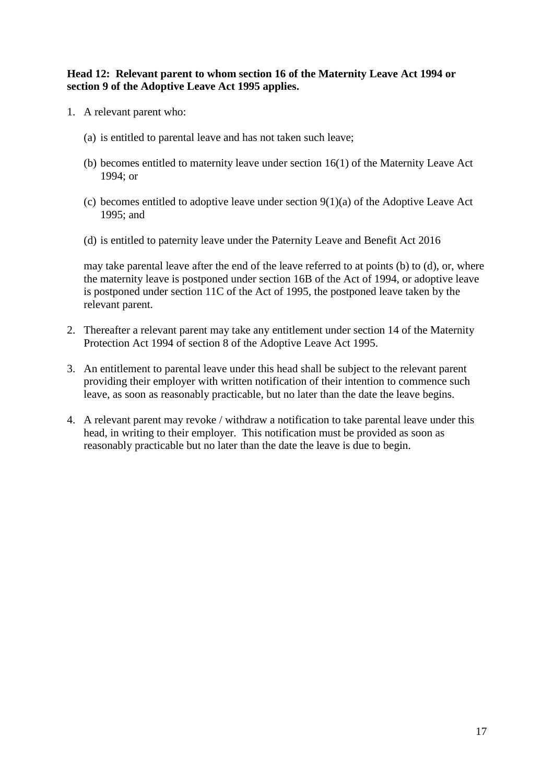#### **Head 12: Relevant parent to whom section 16 of the Maternity Leave Act 1994 or section 9 of the Adoptive Leave Act 1995 applies.**

- 1. A relevant parent who:
	- (a) is entitled to parental leave and has not taken such leave;
	- (b) becomes entitled to maternity leave under section 16(1) of the Maternity Leave Act 1994; or
	- (c) becomes entitled to adoptive leave under section  $9(1)(a)$  of the Adoptive Leave Act 1995; and
	- (d) is entitled to paternity leave under the Paternity Leave and Benefit Act 2016

may take parental leave after the end of the leave referred to at points (b) to (d), or, where the maternity leave is postponed under section 16B of the Act of 1994, or adoptive leave is postponed under section 11C of the Act of 1995, the postponed leave taken by the relevant parent.

- 2. Thereafter a relevant parent may take any entitlement under section 14 of the Maternity Protection Act 1994 of section 8 of the Adoptive Leave Act 1995.
- 3. An entitlement to parental leave under this head shall be subject to the relevant parent providing their employer with written notification of their intention to commence such leave, as soon as reasonably practicable, but no later than the date the leave begins.
- 4. A relevant parent may revoke / withdraw a notification to take parental leave under this head, in writing to their employer. This notification must be provided as soon as reasonably practicable but no later than the date the leave is due to begin.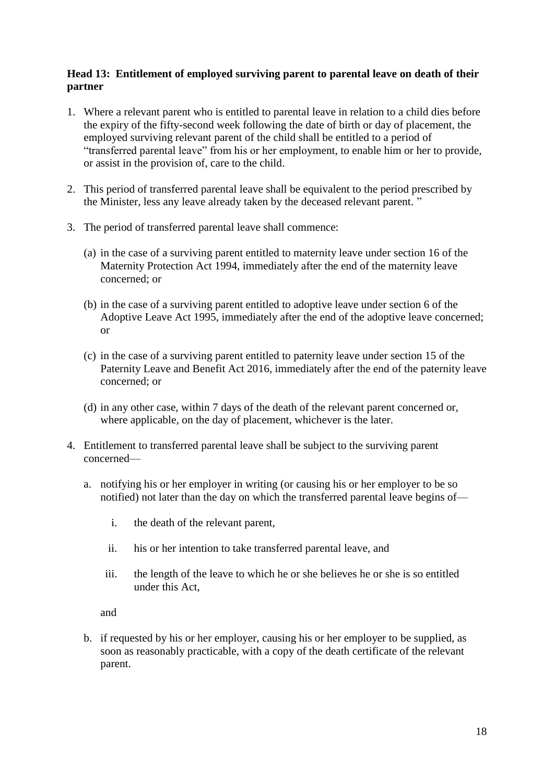#### **Head 13: Entitlement of employed surviving parent to parental leave on death of their partner**

- 1. Where a relevant parent who is entitled to parental leave in relation to a child dies before the expiry of the fifty-second week following the date of birth or day of placement, the employed surviving relevant parent of the child shall be entitled to a period of "transferred parental leave" from his or her employment, to enable him or her to provide, or assist in the provision of, care to the child.
- 2. This period of transferred parental leave shall be equivalent to the period prescribed by the Minister, less any leave already taken by the deceased relevant parent. "
- 3. The period of transferred parental leave shall commence:
	- (a) in the case of a surviving parent entitled to maternity leave under section 16 of the Maternity Protection Act 1994, immediately after the end of the maternity leave concerned; or
	- (b) in the case of a surviving parent entitled to adoptive leave under section 6 of the Adoptive Leave Act 1995, immediately after the end of the adoptive leave concerned; or
	- (c) in the case of a surviving parent entitled to paternity leave under section 15 of the Paternity Leave and Benefit Act 2016, immediately after the end of the paternity leave concerned; or
	- (d) in any other case, within 7 days of the death of the relevant parent concerned or, where applicable, on the day of placement, whichever is the later.
- 4. Entitlement to transferred parental leave shall be subject to the surviving parent concerned
	- a. notifying his or her employer in writing (or causing his or her employer to be so notified) not later than the day on which the transferred parental leave begins of
		- i. the death of the relevant parent,
		- ii. his or her intention to take transferred parental leave, and
		- iii. the length of the leave to which he or she believes he or she is so entitled under this Act,

and

b. if requested by his or her employer, causing his or her employer to be supplied, as soon as reasonably practicable, with a copy of the death certificate of the relevant parent.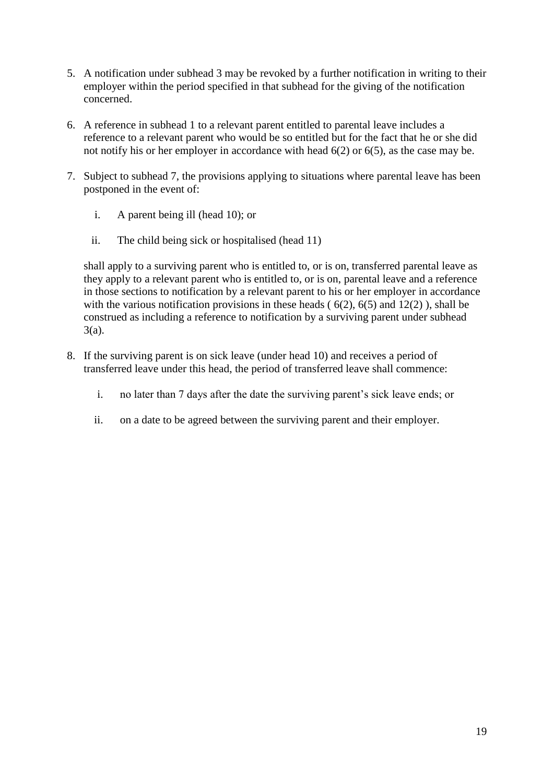- 5. A notification under subhead 3 may be revoked by a further notification in writing to their employer within the period specified in that subhead for the giving of the notification concerned.
- 6. A reference in subhead 1 to a relevant parent entitled to parental leave includes a reference to a relevant parent who would be so entitled but for the fact that he or she did not notify his or her employer in accordance with head 6(2) or 6(5), as the case may be.
- 7. Subject to subhead 7, the provisions applying to situations where parental leave has been postponed in the event of:
	- i. A parent being ill (head 10); or
	- ii. The child being sick or hospitalised (head 11)

shall apply to a surviving parent who is entitled to, or is on, transferred parental leave as they apply to a relevant parent who is entitled to, or is on, parental leave and a reference in those sections to notification by a relevant parent to his or her employer in accordance with the various notification provisions in these heads  $(6(2), 6(5)$  and  $12(2)$ ), shall be construed as including a reference to notification by a surviving parent under subhead 3(a).

- 8. If the surviving parent is on sick leave (under head 10) and receives a period of transferred leave under this head, the period of transferred leave shall commence:
	- i. no later than 7 days after the date the surviving parent's sick leave ends; or
	- ii. on a date to be agreed between the surviving parent and their employer.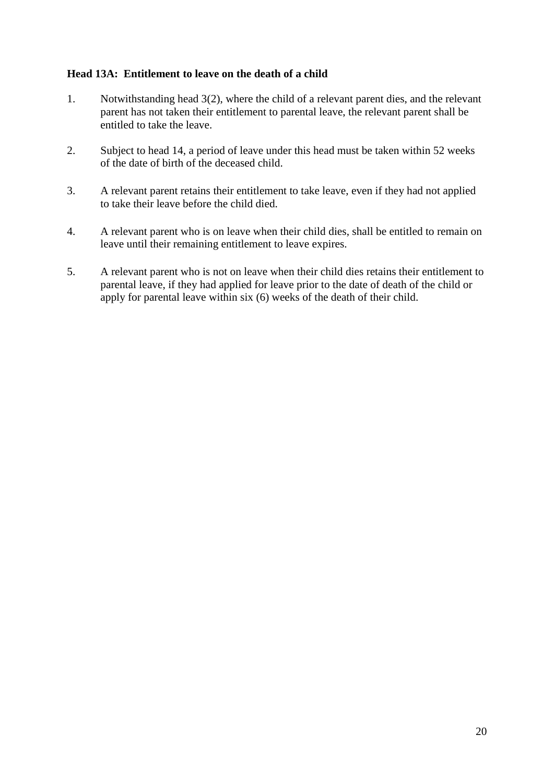#### **Head 13A: Entitlement to leave on the death of a child**

- 1. Notwithstanding head 3(2), where the child of a relevant parent dies, and the relevant parent has not taken their entitlement to parental leave, the relevant parent shall be entitled to take the leave.
- 2. Subject to head 14, a period of leave under this head must be taken within 52 weeks of the date of birth of the deceased child.
- 3. A relevant parent retains their entitlement to take leave, even if they had not applied to take their leave before the child died.
- 4. A relevant parent who is on leave when their child dies, shall be entitled to remain on leave until their remaining entitlement to leave expires.
- 5. A relevant parent who is not on leave when their child dies retains their entitlement to parental leave, if they had applied for leave prior to the date of death of the child or apply for parental leave within six (6) weeks of the death of their child.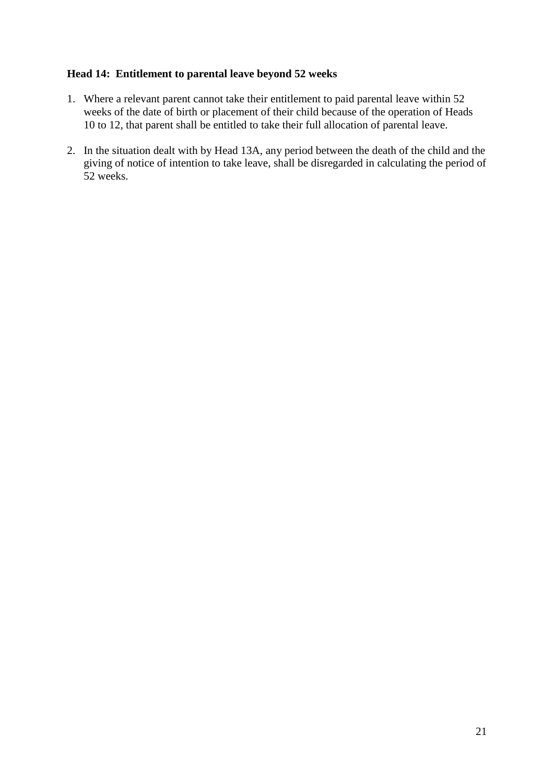#### **Head 14: Entitlement to parental leave beyond 52 weeks**

- 1. Where a relevant parent cannot take their entitlement to paid parental leave within 52 weeks of the date of birth or placement of their child because of the operation of Heads 10 to 12, that parent shall be entitled to take their full allocation of parental leave.
- 2. In the situation dealt with by Head 13A, any period between the death of the child and the giving of notice of intention to take leave, shall be disregarded in calculating the period of 52 weeks.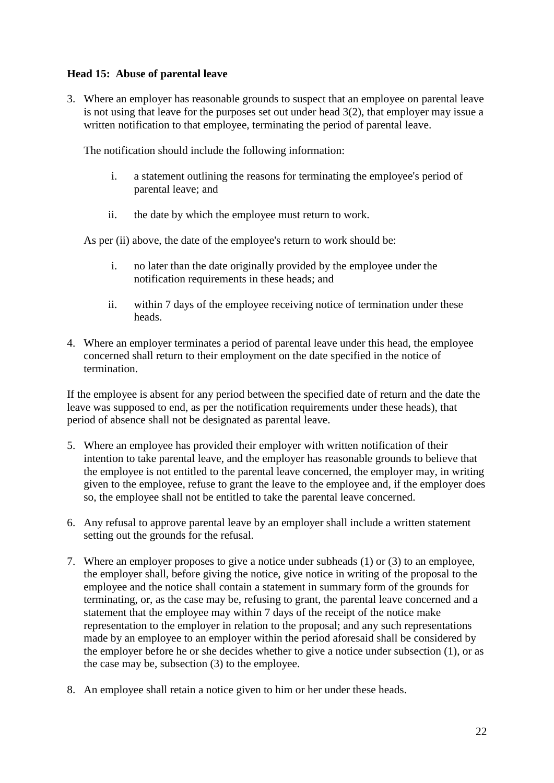#### **Head 15: Abuse of parental leave**

3. Where an employer has reasonable grounds to suspect that an employee on parental leave is not using that leave for the purposes set out under head 3(2), that employer may issue a written notification to that employee, terminating the period of parental leave.

The notification should include the following information:

- i. a statement outlining the reasons for terminating the employee's period of parental leave; and
- ii. the date by which the employee must return to work.

As per (ii) above, the date of the employee's return to work should be:

- i. no later than the date originally provided by the employee under the notification requirements in these heads; and
- ii. within 7 days of the employee receiving notice of termination under these heads.
- 4. Where an employer terminates a period of parental leave under this head, the employee concerned shall return to their employment on the date specified in the notice of termination.

If the employee is absent for any period between the specified date of return and the date the leave was supposed to end, as per the notification requirements under these heads), that period of absence shall not be designated as parental leave.

- 5. Where an employee has provided their employer with written notification of their intention to take parental leave, and the employer has reasonable grounds to believe that the employee is not entitled to the parental leave concerned, the employer may, in writing given to the employee, refuse to grant the leave to the employee and, if the employer does so, the employee shall not be entitled to take the parental leave concerned.
- 6. Any refusal to approve parental leave by an employer shall include a written statement setting out the grounds for the refusal.
- 7. Where an employer proposes to give a notice under subheads (1) or (3) to an employee, the employer shall, before giving the notice, give notice in writing of the proposal to the employee and the notice shall contain a statement in summary form of the grounds for terminating, or, as the case may be, refusing to grant, the parental leave concerned and a statement that the employee may within 7 days of the receipt of the notice make representation to the employer in relation to the proposal; and any such representations made by an employee to an employer within the period aforesaid shall be considered by the employer before he or she decides whether to give a notice under subsection (1), or as the case may be, subsection (3) to the employee.
- 8. An employee shall retain a notice given to him or her under these heads.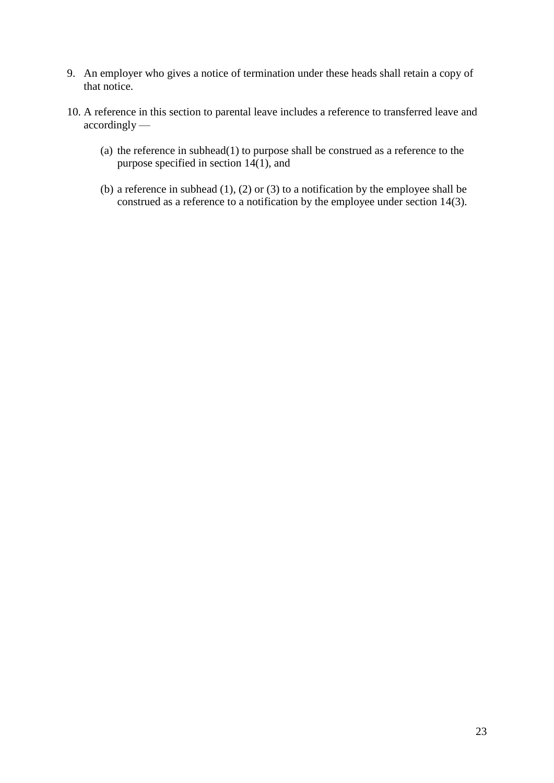- 9. An employer who gives a notice of termination under these heads shall retain a copy of that notice.
- 10. A reference in this section to parental leave includes a reference to transferred leave and accordingly —
	- (a) the reference in subhead(1) to purpose shall be construed as a reference to the purpose specified in section 14(1), and
	- (b) a reference in subhead  $(1)$ ,  $(2)$  or  $(3)$  to a notification by the employee shall be construed as a reference to a notification by the employee under section 14(3).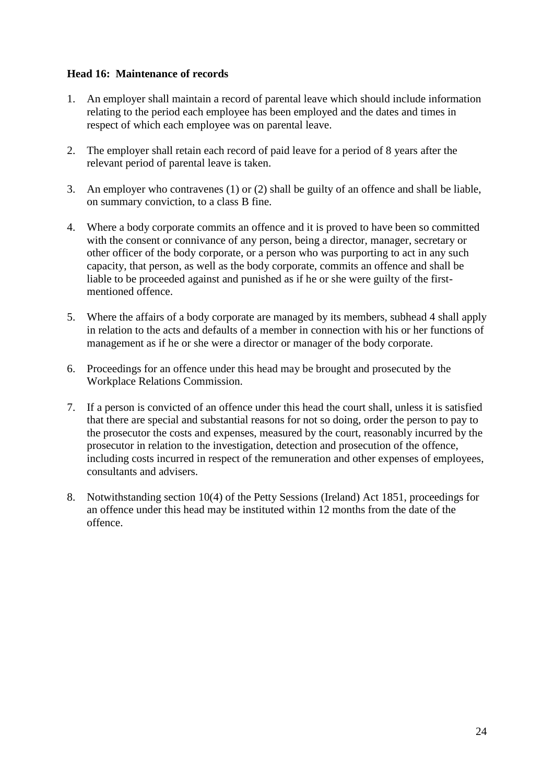#### **Head 16: Maintenance of records**

- 1. An employer shall maintain a record of parental leave which should include information relating to the period each employee has been employed and the dates and times in respect of which each employee was on parental leave.
- 2. The employer shall retain each record of paid leave for a period of 8 years after the relevant period of parental leave is taken.
- 3. An employer who contravenes (1) or (2) shall be guilty of an offence and shall be liable, on summary conviction, to a class B fine.
- 4. Where a body corporate commits an offence and it is proved to have been so committed with the consent or connivance of any person, being a director, manager, secretary or other officer of the body corporate, or a person who was purporting to act in any such capacity, that person, as well as the body corporate, commits an offence and shall be liable to be proceeded against and punished as if he or she were guilty of the firstmentioned offence.
- 5. Where the affairs of a body corporate are managed by its members, subhead 4 shall apply in relation to the acts and defaults of a member in connection with his or her functions of management as if he or she were a director or manager of the body corporate.
- 6. Proceedings for an offence under this head may be brought and prosecuted by the Workplace Relations Commission.
- 7. If a person is convicted of an offence under this head the court shall, unless it is satisfied that there are special and substantial reasons for not so doing, order the person to pay to the prosecutor the costs and expenses, measured by the court, reasonably incurred by the prosecutor in relation to the investigation, detection and prosecution of the offence, including costs incurred in respect of the remuneration and other expenses of employees, consultants and advisers.
- 8. Notwithstanding section 10(4) of the Petty Sessions (Ireland) Act 1851, proceedings for an offence under this head may be instituted within 12 months from the date of the offence.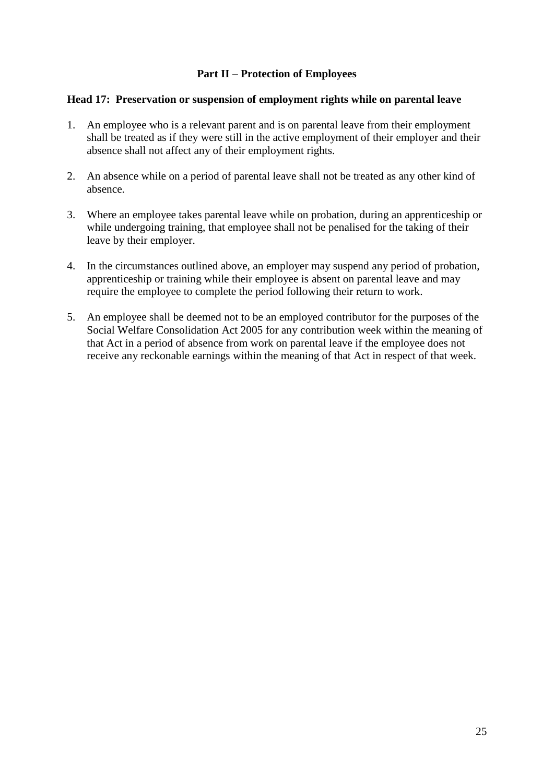#### **Part II – Protection of Employees**

#### **Head 17: Preservation or suspension of employment rights while on parental leave**

- 1. An employee who is a relevant parent and is on parental leave from their employment shall be treated as if they were still in the active employment of their employer and their absence shall not affect any of their employment rights.
- 2. An absence while on a period of parental leave shall not be treated as any other kind of absence.
- 3. Where an employee takes parental leave while on probation, during an apprenticeship or while undergoing training, that employee shall not be penalised for the taking of their leave by their employer.
- 4. In the circumstances outlined above, an employer may suspend any period of probation, apprenticeship or training while their employee is absent on parental leave and may require the employee to complete the period following their return to work.
- 5. An employee shall be deemed not to be an employed contributor for the purposes of the Social Welfare Consolidation Act 2005 for any contribution week within the meaning of that Act in a period of absence from work on parental leave if the employee does not receive any reckonable earnings within the meaning of that Act in respect of that week.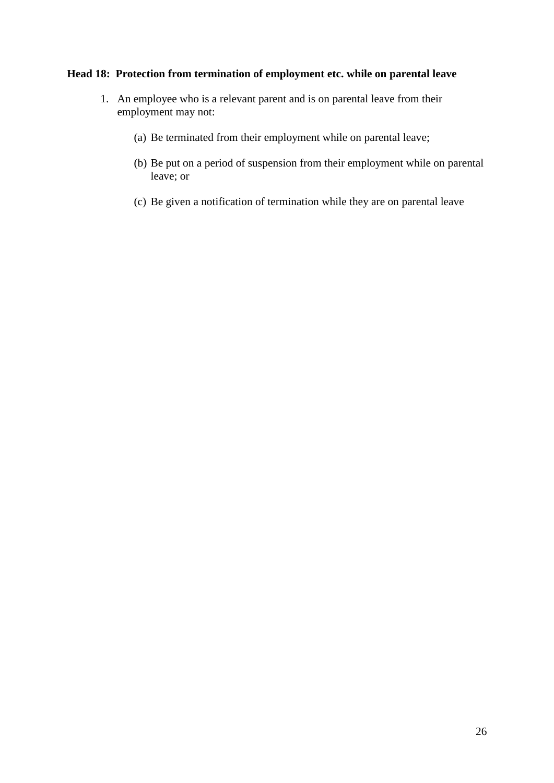### **Head 18: Protection from termination of employment etc. while on parental leave**

- 1. An employee who is a relevant parent and is on parental leave from their employment may not:
	- (a) Be terminated from their employment while on parental leave;
	- (b) Be put on a period of suspension from their employment while on parental leave; or
	- (c) Be given a notification of termination while they are on parental leave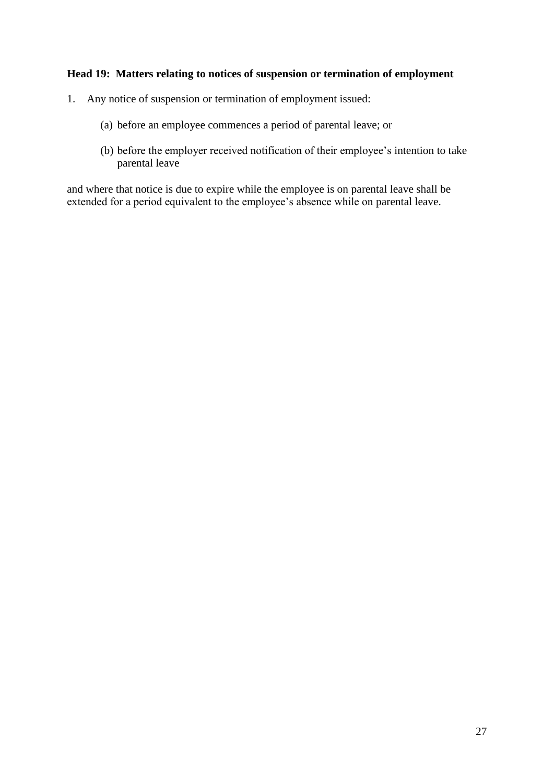#### **Head 19: Matters relating to notices of suspension or termination of employment**

- 1. Any notice of suspension or termination of employment issued:
	- (a) before an employee commences a period of parental leave; or
	- (b) before the employer received notification of their employee's intention to take parental leave

and where that notice is due to expire while the employee is on parental leave shall be extended for a period equivalent to the employee's absence while on parental leave.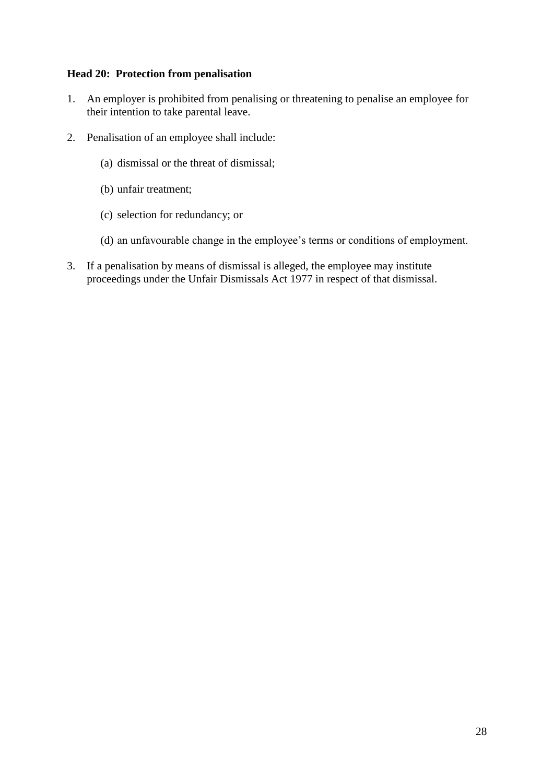#### **Head 20: Protection from penalisation**

- 1. An employer is prohibited from penalising or threatening to penalise an employee for their intention to take parental leave.
- 2. Penalisation of an employee shall include:
	- (a) dismissal or the threat of dismissal;
	- (b) unfair treatment;
	- (c) selection for redundancy; or
	- (d) an unfavourable change in the employee's terms or conditions of employment.
- 3. If a penalisation by means of dismissal is alleged, the employee may institute proceedings under the Unfair Dismissals Act 1977 in respect of that dismissal.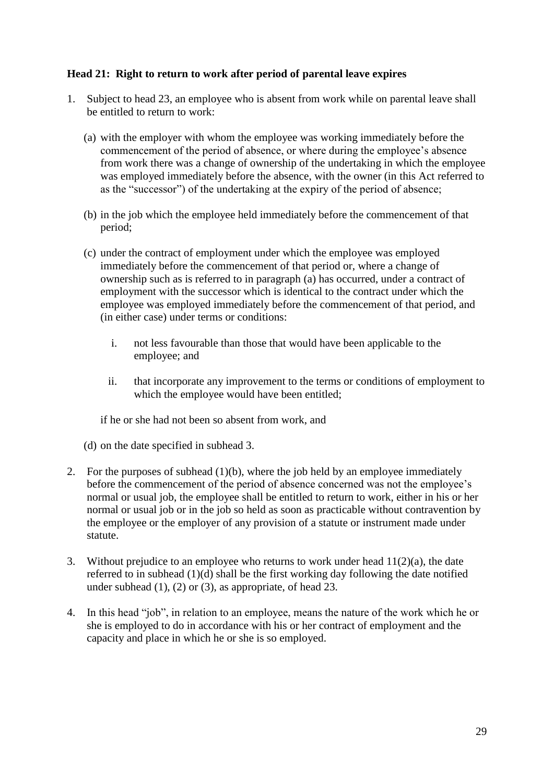#### **Head 21: Right to return to work after period of parental leave expires**

- 1. Subject to head 23, an employee who is absent from work while on parental leave shall be entitled to return to work:
	- (a) with the employer with whom the employee was working immediately before the commencement of the period of absence, or where during the employee's absence from work there was a change of ownership of the undertaking in which the employee was employed immediately before the absence, with the owner (in this Act referred to as the "successor") of the undertaking at the expiry of the period of absence;
	- (b) in the job which the employee held immediately before the commencement of that period;
	- (c) under the contract of employment under which the employee was employed immediately before the commencement of that period or, where a change of ownership such as is referred to in paragraph (a) has occurred, under a contract of employment with the successor which is identical to the contract under which the employee was employed immediately before the commencement of that period, and (in either case) under terms or conditions:
		- i. not less favourable than those that would have been applicable to the employee; and
		- ii. that incorporate any improvement to the terms or conditions of employment to which the employee would have been entitled;

if he or she had not been so absent from work, and

- (d) on the date specified in subhead 3.
- 2. For the purposes of subhead (1)(b), where the job held by an employee immediately before the commencement of the period of absence concerned was not the employee's normal or usual job, the employee shall be entitled to return to work, either in his or her normal or usual job or in the job so held as soon as practicable without contravention by the employee or the employer of any provision of a statute or instrument made under statute.
- 3. Without prejudice to an employee who returns to work under head  $11(2)(a)$ , the date referred to in subhead (1)(d) shall be the first working day following the date notified under subhead  $(1)$ ,  $(2)$  or  $(3)$ , as appropriate, of head 23.
- 4. In this head "job", in relation to an employee, means the nature of the work which he or she is employed to do in accordance with his or her contract of employment and the capacity and place in which he or she is so employed.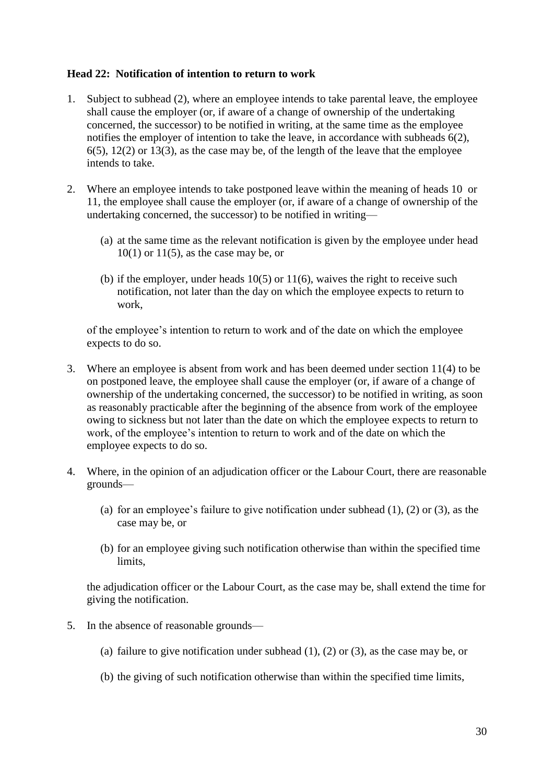#### **Head 22: Notification of intention to return to work**

- 1. Subject to subhead (2), where an employee intends to take parental leave, the employee shall cause the employer (or, if aware of a change of ownership of the undertaking concerned, the successor) to be notified in writing, at the same time as the employee notifies the employer of intention to take the leave, in accordance with subheads 6(2),  $6(5)$ ,  $12(2)$  or  $13(3)$ , as the case may be, of the length of the leave that the employee intends to take.
- 2. Where an employee intends to take postponed leave within the meaning of heads 10 or 11, the employee shall cause the employer (or, if aware of a change of ownership of the undertaking concerned, the successor) to be notified in writing—
	- (a) at the same time as the relevant notification is given by the employee under head  $10(1)$  or  $11(5)$ , as the case may be, or
	- (b) if the employer, under heads  $10(5)$  or  $11(6)$ , waives the right to receive such notification, not later than the day on which the employee expects to return to work,

of the employee's intention to return to work and of the date on which the employee expects to do so.

- 3. Where an employee is absent from work and has been deemed under section 11(4) to be on postponed leave, the employee shall cause the employer (or, if aware of a change of ownership of the undertaking concerned, the successor) to be notified in writing, as soon as reasonably practicable after the beginning of the absence from work of the employee owing to sickness but not later than the date on which the employee expects to return to work, of the employee's intention to return to work and of the date on which the employee expects to do so.
- 4. Where, in the opinion of an adjudication officer or the Labour Court, there are reasonable grounds—
	- (a) for an employee's failure to give notification under subhead  $(1)$ ,  $(2)$  or  $(3)$ , as the case may be, or
	- (b) for an employee giving such notification otherwise than within the specified time limits,

the adjudication officer or the Labour Court, as the case may be, shall extend the time for giving the notification.

- 5. In the absence of reasonable grounds—
	- (a) failure to give notification under subhead (1), (2) or (3), as the case may be, or
	- (b) the giving of such notification otherwise than within the specified time limits,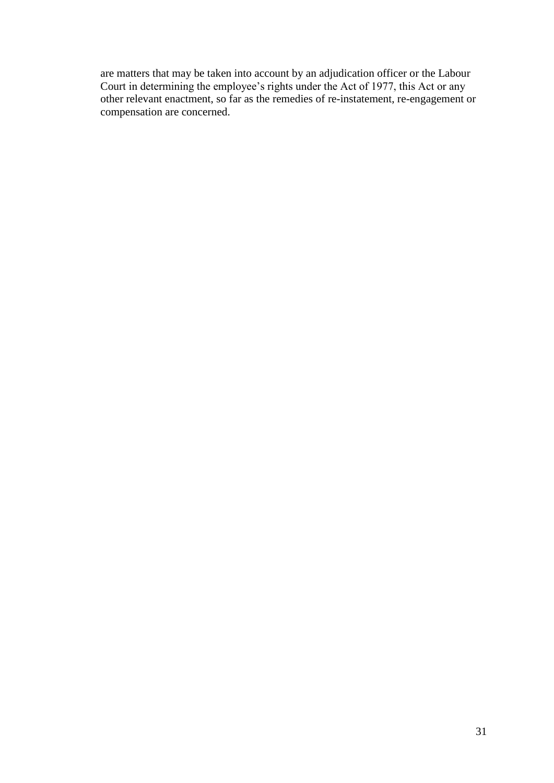are matters that may be taken into account by an adjudication officer or the Labour Court in determining the employee's rights under the Act of 1977, this Act or any other relevant enactment, so far as the remedies of re-instatement, re-engagement or compensation are concerned.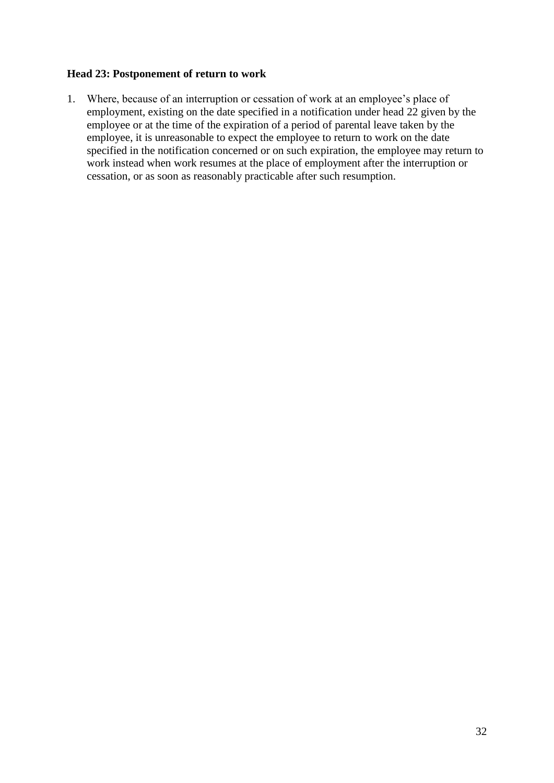#### **Head 23: Postponement of return to work**

1. Where, because of an interruption or cessation of work at an employee's place of employment, existing on the date specified in a notification under head 22 given by the employee or at the time of the expiration of a period of parental leave taken by the employee, it is unreasonable to expect the employee to return to work on the date specified in the notification concerned or on such expiration, the employee may return to work instead when work resumes at the place of employment after the interruption or cessation, or as soon as reasonably practicable after such resumption.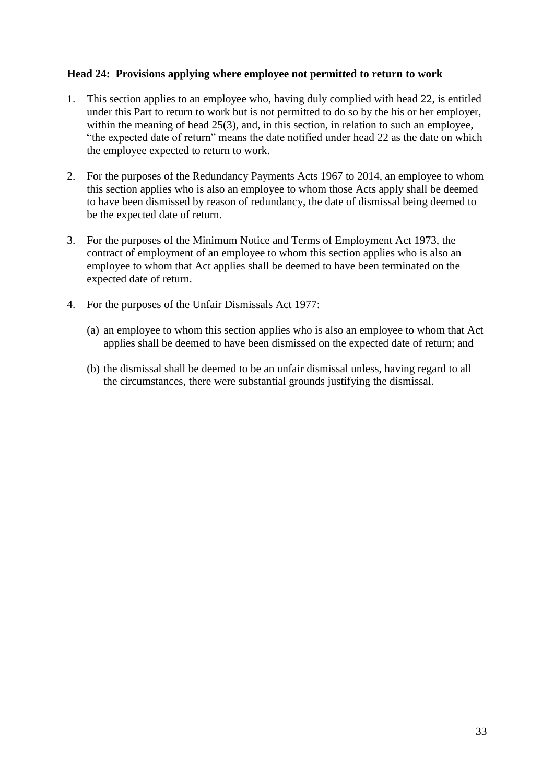#### **Head 24: Provisions applying where employee not permitted to return to work**

- 1. This section applies to an employee who, having duly complied with head 22, is entitled under this Part to return to work but is not permitted to do so by the his or her employer, within the meaning of head 25(3), and, in this section, in relation to such an employee, "the expected date of return" means the date notified under head 22 as the date on which the employee expected to return to work.
- 2. For the purposes of the Redundancy Payments Acts 1967 to 2014, an employee to whom this section applies who is also an employee to whom those Acts apply shall be deemed to have been dismissed by reason of redundancy, the date of dismissal being deemed to be the expected date of return.
- 3. For the purposes of the Minimum Notice and Terms of Employment Act 1973, the contract of employment of an employee to whom this section applies who is also an employee to whom that Act applies shall be deemed to have been terminated on the expected date of return.
- 4. For the purposes of the Unfair Dismissals Act 1977:
	- (a) an employee to whom this section applies who is also an employee to whom that Act applies shall be deemed to have been dismissed on the expected date of return; and
	- (b) the dismissal shall be deemed to be an unfair dismissal unless, having regard to all the circumstances, there were substantial grounds justifying the dismissal.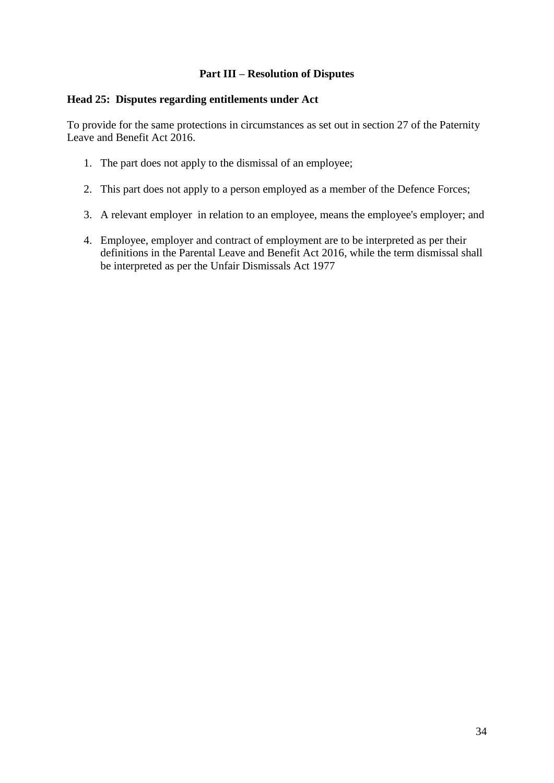#### **Part III – Resolution of Disputes**

#### **Head 25: Disputes regarding entitlements under Act**

To provide for the same protections in circumstances as set out in section 27 of the Paternity Leave and Benefit Act 2016.

- 1. The part does not apply to the dismissal of an employee;
- 2. This part does not apply to a person employed as a member of the Defence Forces;
- 3. A relevant employer in relation to an employee, means the employee's employer; and
- 4. Employee, employer and contract of employment are to be interpreted as per their definitions in the Parental Leave and Benefit Act 2016, while the term dismissal shall be interpreted as per the Unfair Dismissals Act 1977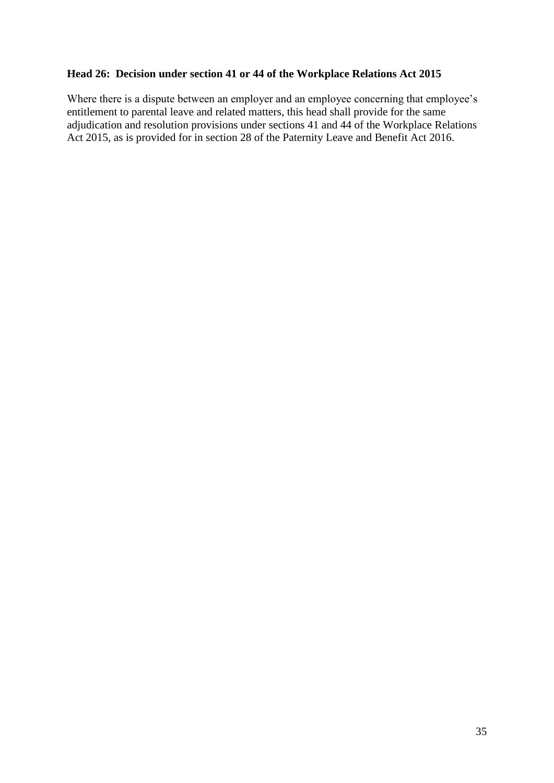#### **Head 26: Decision under section 41 or 44 of the Workplace Relations Act 2015**

Where there is a dispute between an employer and an employee concerning that employee's entitlement to parental leave and related matters, this head shall provide for the same adjudication and resolution provisions under sections 41 and 44 of the Workplace Relations Act 2015, as is provided for in section 28 of the Paternity Leave and Benefit Act 2016.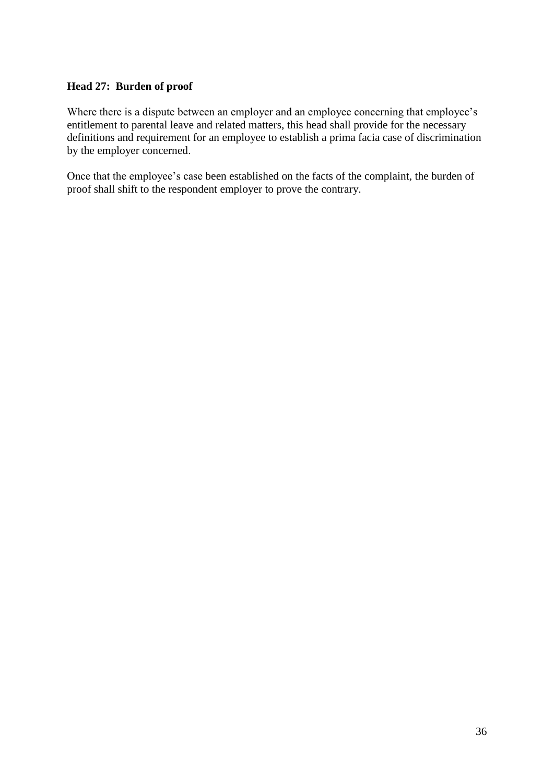#### **Head 27: Burden of proof**

Where there is a dispute between an employer and an employee concerning that employee's entitlement to parental leave and related matters, this head shall provide for the necessary definitions and requirement for an employee to establish a prima facia case of discrimination by the employer concerned.

Once that the employee's case been established on the facts of the complaint, the burden of proof shall shift to the respondent employer to prove the contrary.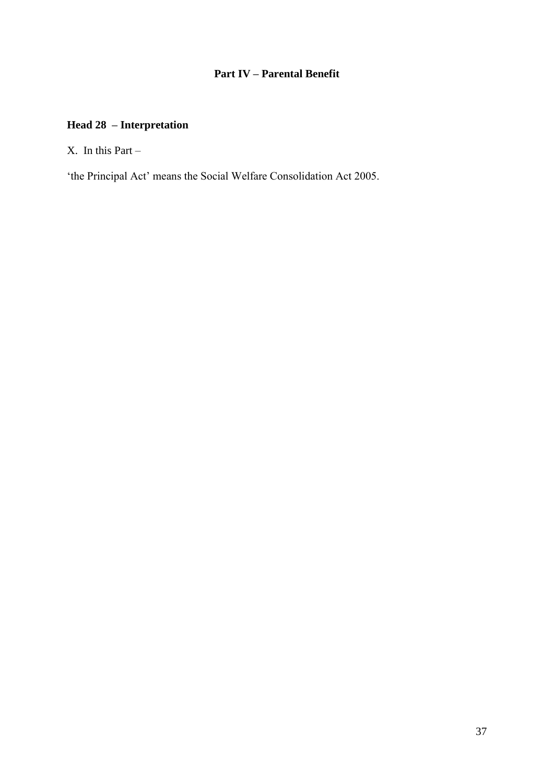# **Part IV – Parental Benefit**

# **Head 28 – Interpretation**

 $X$ . In this Part –

'the Principal Act' means the Social Welfare Consolidation Act 2005.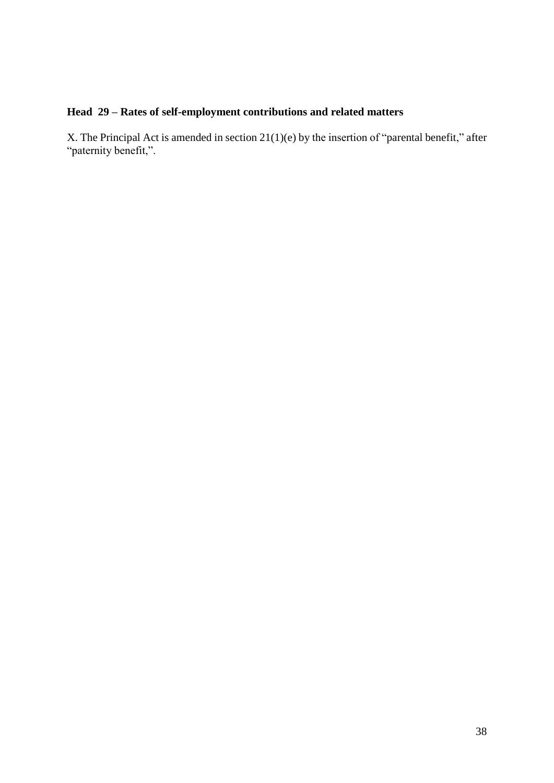# **Head 29 – Rates of self-employment contributions and related matters**

X. The Principal Act is amended in section 21(1)(e) by the insertion of "parental benefit," after "paternity benefit,".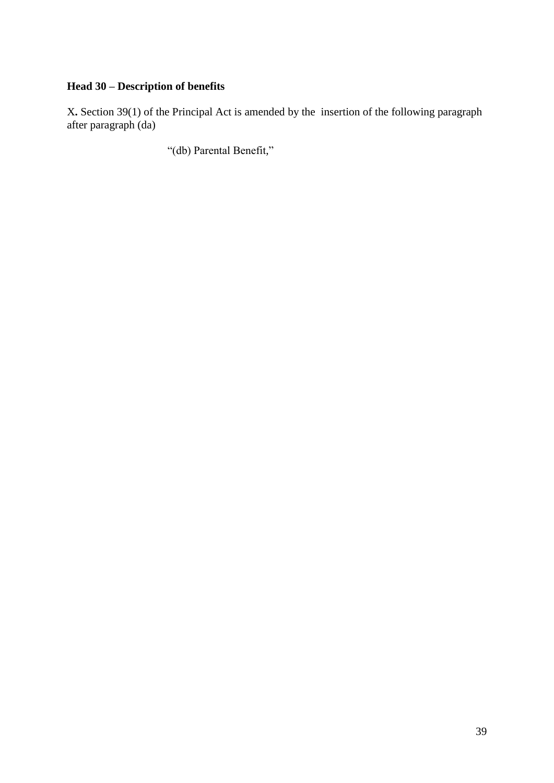# **Head 30 – Description of benefits**

X**.** Section 39(1) of the Principal Act is amended by the insertion of the following paragraph after paragraph (da)

"(db) Parental Benefit,"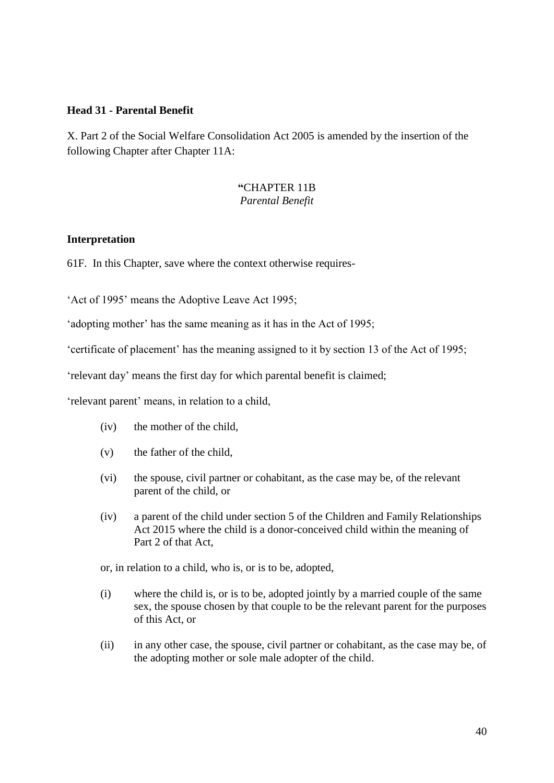#### **Head 31 - Parental Benefit**

X. Part 2 of the Social Welfare Consolidation Act 2005 is amended by the insertion of the following Chapter after Chapter 11A:

#### **"**CHAPTER 11B *Parental Benefit*

#### **Interpretation**

61F. In this Chapter, save where the context otherwise requires-

'Act of 1995' means the Adoptive Leave Act 1995;

'adopting mother' has the same meaning as it has in the Act of 1995;

'certificate of placement' has the meaning assigned to it by section 13 of the Act of 1995;

'relevant day' means the first day for which parental benefit is claimed;

'relevant parent' means, in relation to a child,

- (iv) the mother of the child,
- (v) the father of the child,
- (vi) the spouse, civil partner or cohabitant, as the case may be, of the relevant parent of the child, or
- (iv) a parent of the child under section 5 of the Children and Family Relationships Act 2015 where the child is a donor-conceived child within the meaning of Part 2 of that Act,

or, in relation to a child, who is, or is to be, adopted,

- (i) where the child is, or is to be, adopted jointly by a married couple of the same sex, the spouse chosen by that couple to be the relevant parent for the purposes of this Act, or
- (ii) in any other case, the spouse, civil partner or cohabitant, as the case may be, of the adopting mother or sole male adopter of the child.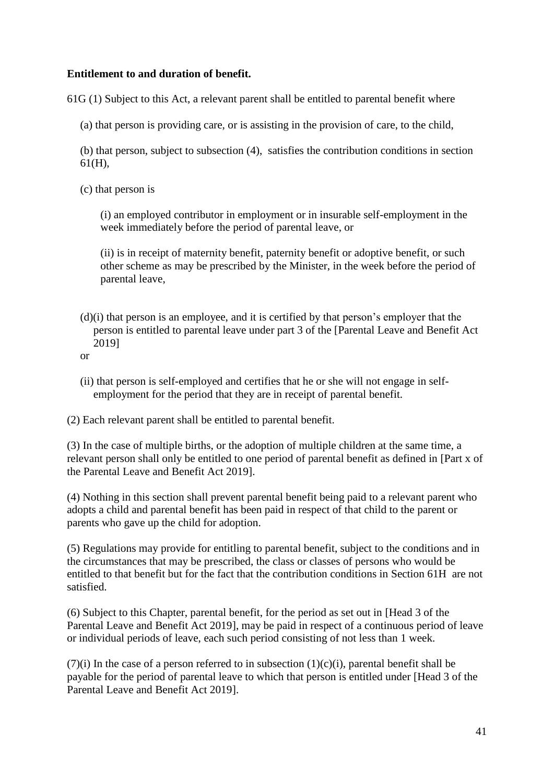#### **Entitlement to and duration of benefit.**

61G (1) Subject to this Act, a relevant parent shall be entitled to parental benefit where

(a) that person is providing care, or is assisting in the provision of care, to the child,

(b) that person, subject to subsection (4), satisfies the contribution conditions in section 61(H),

(c) that person is

(i) an employed contributor in employment or in insurable self-employment in the week immediately before the period of parental leave, or

(ii) is in receipt of maternity benefit, paternity benefit or adoptive benefit, or such other scheme as may be prescribed by the Minister, in the week before the period of parental leave,

- (d)(i) that person is an employee, and it is certified by that person's employer that the person is entitled to parental leave under part 3 of the [Parental Leave and Benefit Act 2019]
- or
- (ii) that person is self-employed and certifies that he or she will not engage in selfemployment for the period that they are in receipt of parental benefit.

(2) Each relevant parent shall be entitled to parental benefit.

(3) In the case of multiple births, or the adoption of multiple children at the same time, a relevant person shall only be entitled to one period of parental benefit as defined in [Part x of the Parental Leave and Benefit Act 2019].

(4) Nothing in this section shall prevent parental benefit being paid to a relevant parent who adopts a child and parental benefit has been paid in respect of that child to the parent or parents who gave up the child for adoption.

(5) Regulations may provide for entitling to parental benefit, subject to the conditions and in the circumstances that may be prescribed, the class or classes of persons who would be entitled to that benefit but for the fact that the contribution conditions in Section 61H are not satisfied.

(6) Subject to this Chapter, parental benefit, for the period as set out in [Head 3 of the Parental Leave and Benefit Act 2019], may be paid in respect of a continuous period of leave or individual periods of leave, each such period consisting of not less than 1 week.

(7)(i) In the case of a person referred to in subsection  $(1)(c)(i)$ , parental benefit shall be payable for the period of parental leave to which that person is entitled under [Head 3 of the Parental Leave and Benefit Act 2019].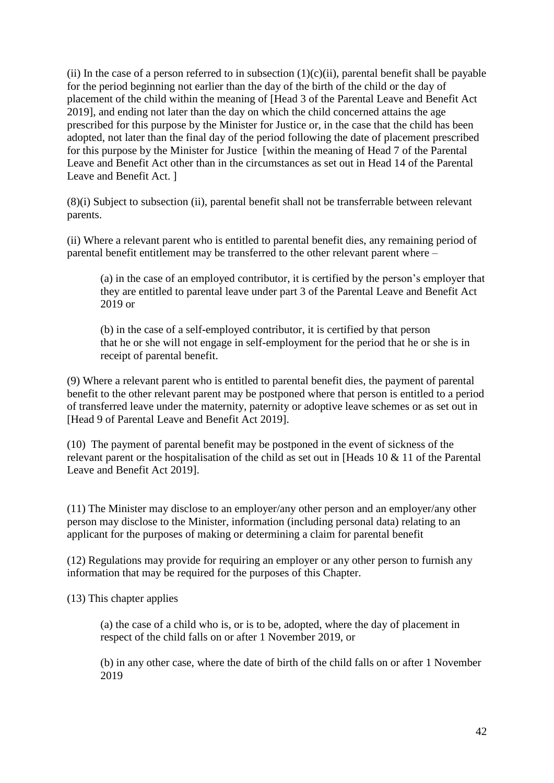(ii) In the case of a person referred to in subsection  $(1)(c)(ii)$ , parental benefit shall be payable for the period beginning not earlier than the day of the birth of the child or the day of placement of the child within the meaning of [Head 3 of the Parental Leave and Benefit Act 2019], and ending not later than the day on which the child concerned attains the age prescribed for this purpose by the Minister for Justice or, in the case that the child has been adopted, not later than the final day of the period following the date of placement prescribed for this purpose by the Minister for Justice [within the meaning of Head 7 of the Parental Leave and Benefit Act other than in the circumstances as set out in Head 14 of the Parental Leave and Benefit Act. ]

(8)(i) Subject to subsection (ii), parental benefit shall not be transferrable between relevant parents.

(ii) Where a relevant parent who is entitled to parental benefit dies, any remaining period of parental benefit entitlement may be transferred to the other relevant parent where –

(a) in the case of an employed contributor, it is certified by the person's employer that they are entitled to parental leave under part 3 of the Parental Leave and Benefit Act 2019 or

(b) in the case of a self-employed contributor, it is certified by that person that he or she will not engage in self-employment for the period that he or she is in receipt of parental benefit.

(9) Where a relevant parent who is entitled to parental benefit dies, the payment of parental benefit to the other relevant parent may be postponed where that person is entitled to a period of transferred leave under the maternity, paternity or adoptive leave schemes or as set out in [Head 9 of Parental Leave and Benefit Act 2019].

(10) The payment of parental benefit may be postponed in the event of sickness of the relevant parent or the hospitalisation of the child as set out in [Heads 10 & 11 of the Parental Leave and Benefit Act 2019].

(11) The Minister may disclose to an employer/any other person and an employer/any other person may disclose to the Minister, information (including personal data) relating to an applicant for the purposes of making or determining a claim for parental benefit

(12) Regulations may provide for requiring an employer or any other person to furnish any information that may be required for the purposes of this Chapter.

(13) This chapter applies

(a) the case of a child who is, or is to be, adopted, where the day of placement in respect of the child falls on or after 1 November 2019, or

(b) in any other case, where the date of birth of the child falls on or after 1 November 2019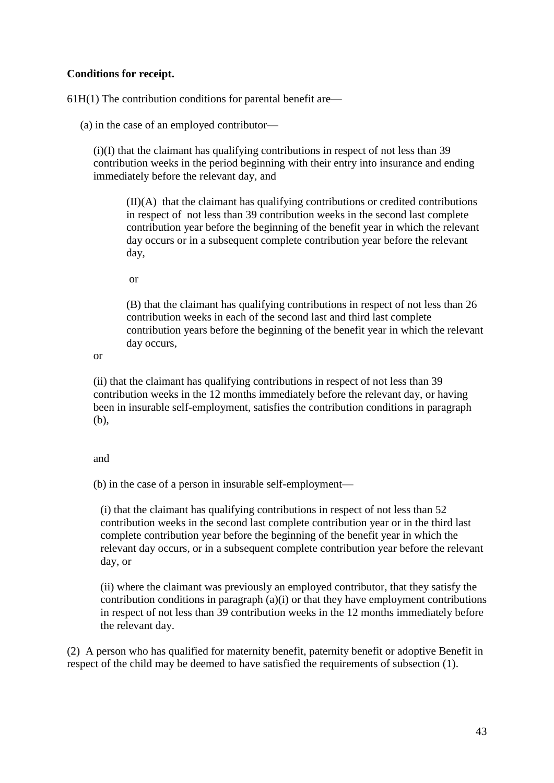#### **Conditions for receipt.**

61H(1) The contribution conditions for parental benefit are—

(a) in the case of an employed contributor—

(i)(I) that the claimant has qualifying contributions in respect of not less than 39 contribution weeks in the period beginning with their entry into insurance and ending immediately before the relevant day, and

 $(II)(A)$  that the claimant has qualifying contributions or credited contributions in respect of not less than 39 contribution weeks in the second last complete contribution year before the beginning of the benefit year in which the relevant day occurs or in a subsequent complete contribution year before the relevant day,

or

(B) that the claimant has qualifying contributions in respect of not less than 26 contribution weeks in each of the second last and third last complete contribution years before the beginning of the benefit year in which the relevant day occurs,

or

(ii) that the claimant has qualifying contributions in respect of not less than 39 contribution weeks in the 12 months immediately before the relevant day, or having been in insurable self-employment, satisfies the contribution conditions in paragraph (b),

and

(b) in the case of a person in insurable self-employment—

(i) that the claimant has qualifying contributions in respect of not less than 52 contribution weeks in the second last complete contribution year or in the third last complete contribution year before the beginning of the benefit year in which the relevant day occurs, or in a subsequent complete contribution year before the relevant day, or

(ii) where the claimant was previously an employed contributor, that they satisfy the contribution conditions in paragraph (a)(i) or that they have employment contributions in respect of not less than 39 contribution weeks in the 12 months immediately before the relevant day.

(2) A person who has qualified for maternity benefit, paternity benefit or adoptive Benefit in respect of the child may be deemed to have satisfied the requirements of subsection (1).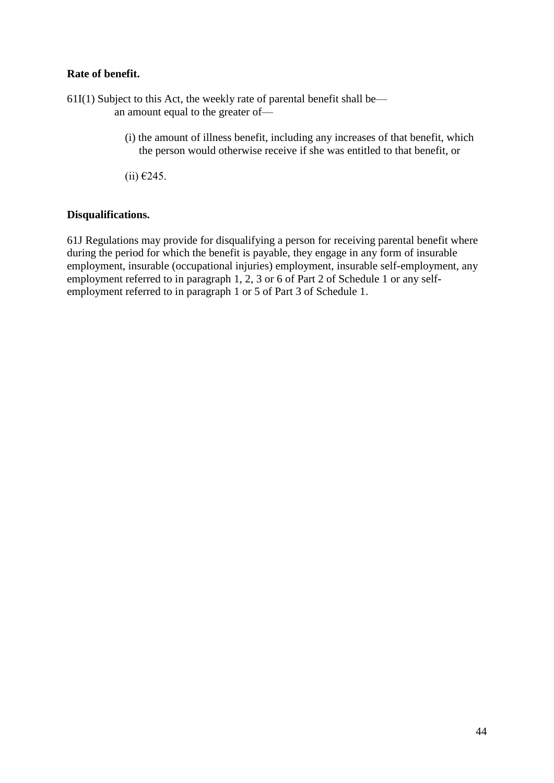#### **Rate of benefit.**

- $61I(1)$  Subject to this Act, the weekly rate of parental benefit shall be an amount equal to the greater of—
	- (i) the amount of illness benefit, including any increases of that benefit, which the person would otherwise receive if she was entitled to that benefit, or
	- $(ii) €245.$

#### **Disqualifications.**

61J Regulations may provide for disqualifying a person for receiving parental benefit where during the period for which the benefit is payable, they engage in any form of insurable employment, insurable (occupational injuries) employment, insurable self-employment, any employment referred to in paragraph 1, 2, 3 or 6 of Part 2 of Schedule 1 or any selfemployment referred to in paragraph 1 or 5 of Part 3 of Schedule 1.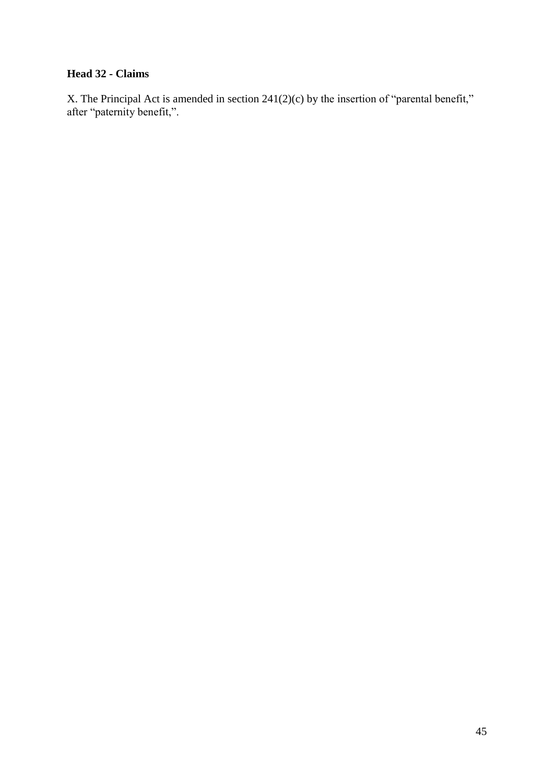# **Head 32 - Claims**

X. The Principal Act is amended in section 241(2)(c) by the insertion of "parental benefit," after "paternity benefit,".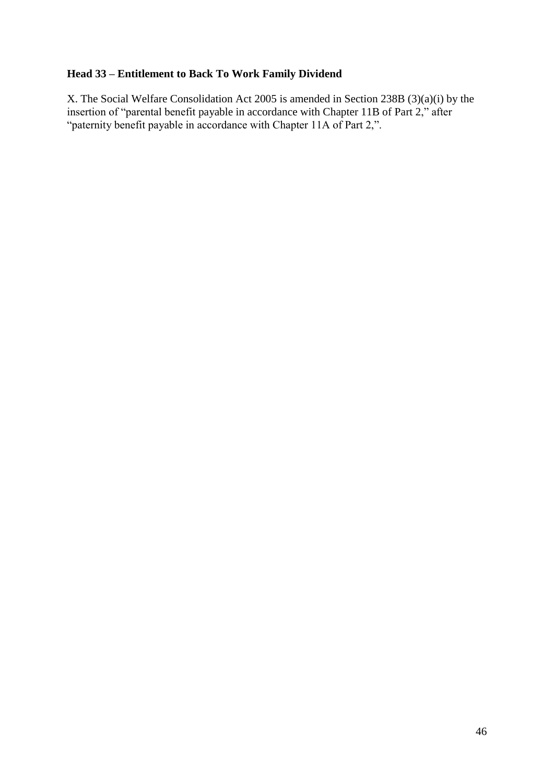# **Head 33 – Entitlement to Back To Work Family Dividend**

X. The Social Welfare Consolidation Act 2005 is amended in Section 238B (3)(a)(i) by the insertion of "parental benefit payable in accordance with Chapter 11B of Part 2," after "paternity benefit payable in accordance with Chapter 11A of Part 2,".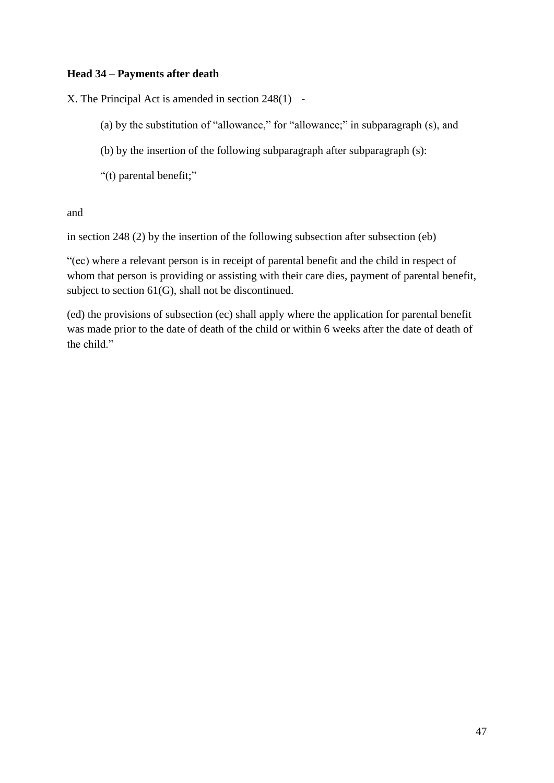#### **Head 34 – Payments after death**

X. The Principal Act is amended in section 248(1) -

- (a) by the substitution of "allowance," for "allowance;" in subparagraph (s), and
- (b) by the insertion of the following subparagraph after subparagraph (s):
- "(t) parental benefit;"

and

in section 248 (2) by the insertion of the following subsection after subsection (eb)

"(ec) where a relevant person is in receipt of parental benefit and the child in respect of whom that person is providing or assisting with their care dies, payment of parental benefit, subject to section 61(G), shall not be discontinued.

(ed) the provisions of subsection (ec) shall apply where the application for parental benefit was made prior to the date of death of the child or within 6 weeks after the date of death of the child."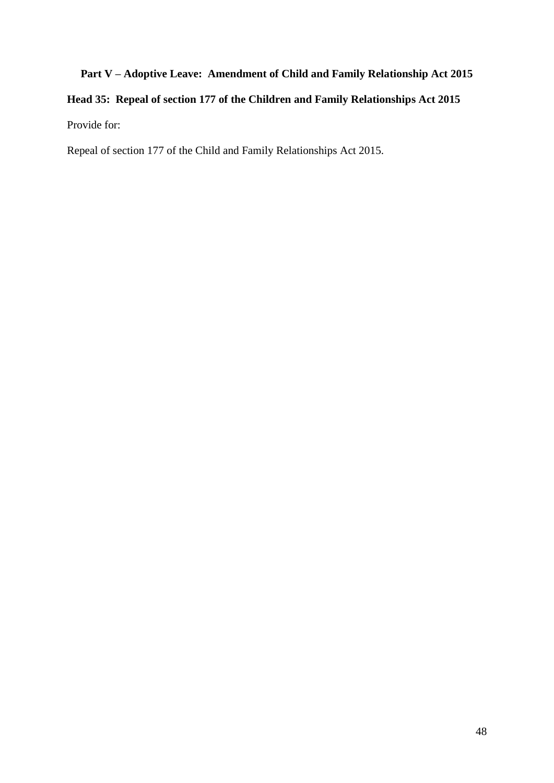# **Part V – Adoptive Leave: Amendment of Child and Family Relationship Act 2015 Head 35: Repeal of section 177 of the Children and Family Relationships Act 2015** Provide for:

Repeal of section 177 of the Child and Family Relationships Act 2015.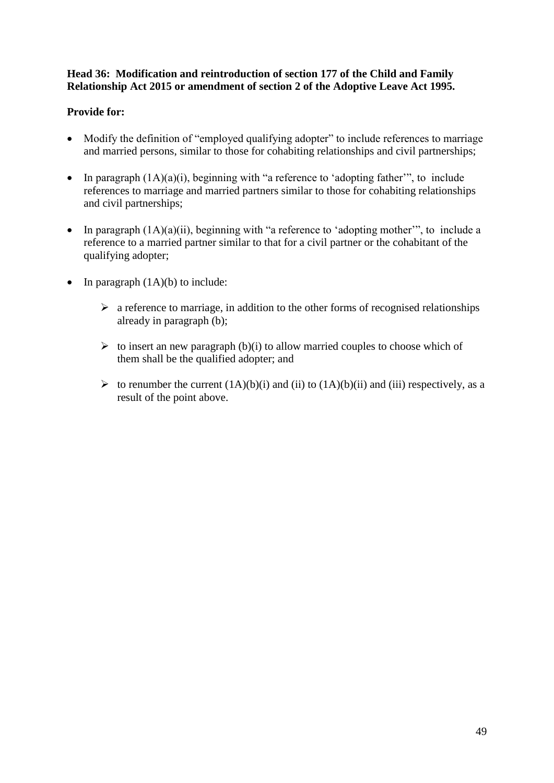#### **Head 36: Modification and reintroduction of section 177 of the Child and Family Relationship Act 2015 or amendment of section 2 of the Adoptive Leave Act 1995.**

### **Provide for:**

- Modify the definition of "employed qualifying adopter" to include references to marriage and married persons, similar to those for cohabiting relationships and civil partnerships;
- In paragraph  $(1A)(a)(i)$ , beginning with "a reference to 'adopting father'", to include references to marriage and married partners similar to those for cohabiting relationships and civil partnerships;
- In paragraph  $(1A)(a)(ii)$ , beginning with "a reference to 'adopting mother'", to include a reference to a married partner similar to that for a civil partner or the cohabitant of the qualifying adopter;
- In paragraph  $(1A)(b)$  to include:
	- $\triangleright$  a reference to marriage, in addition to the other forms of recognised relationships already in paragraph (b);
	- $\triangleright$  to insert an new paragraph (b)(i) to allow married couples to choose which of them shall be the qualified adopter; and
	- $\triangleright$  to renumber the current  $(1A)(b)(i)$  and  $(ii)$  to  $(1A)(b)(ii)$  and  $(iii)$  respectively, as a result of the point above.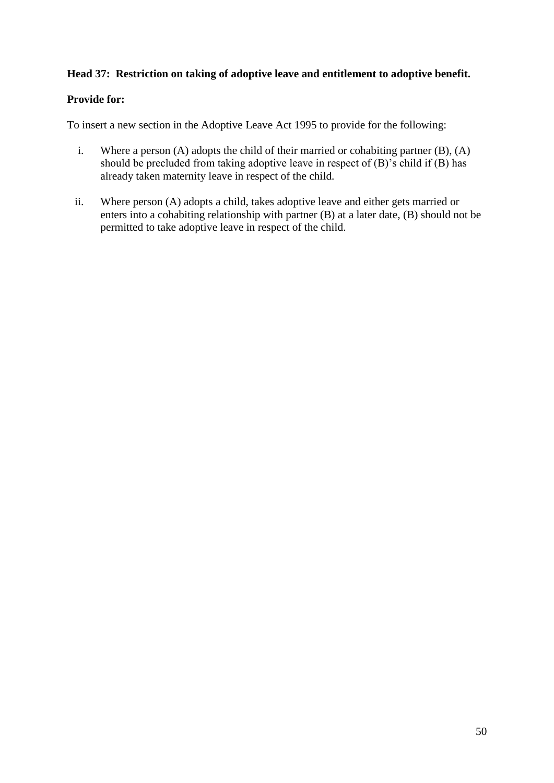#### **Head 37: Restriction on taking of adoptive leave and entitlement to adoptive benefit.**

#### **Provide for:**

To insert a new section in the Adoptive Leave Act 1995 to provide for the following:

- i. Where a person (A) adopts the child of their married or cohabiting partner (B), (A) should be precluded from taking adoptive leave in respect of (B)'s child if (B) has already taken maternity leave in respect of the child.
- ii. Where person (A) adopts a child, takes adoptive leave and either gets married or enters into a cohabiting relationship with partner (B) at a later date, (B) should not be permitted to take adoptive leave in respect of the child.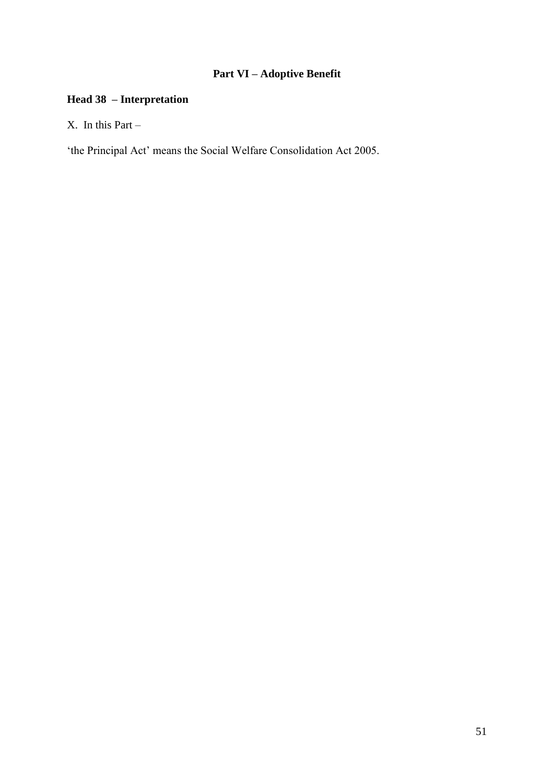# **Part VI – Adoptive Benefit**

# **Head 38 – Interpretation**

X. In this Part –

'the Principal Act' means the Social Welfare Consolidation Act 2005.